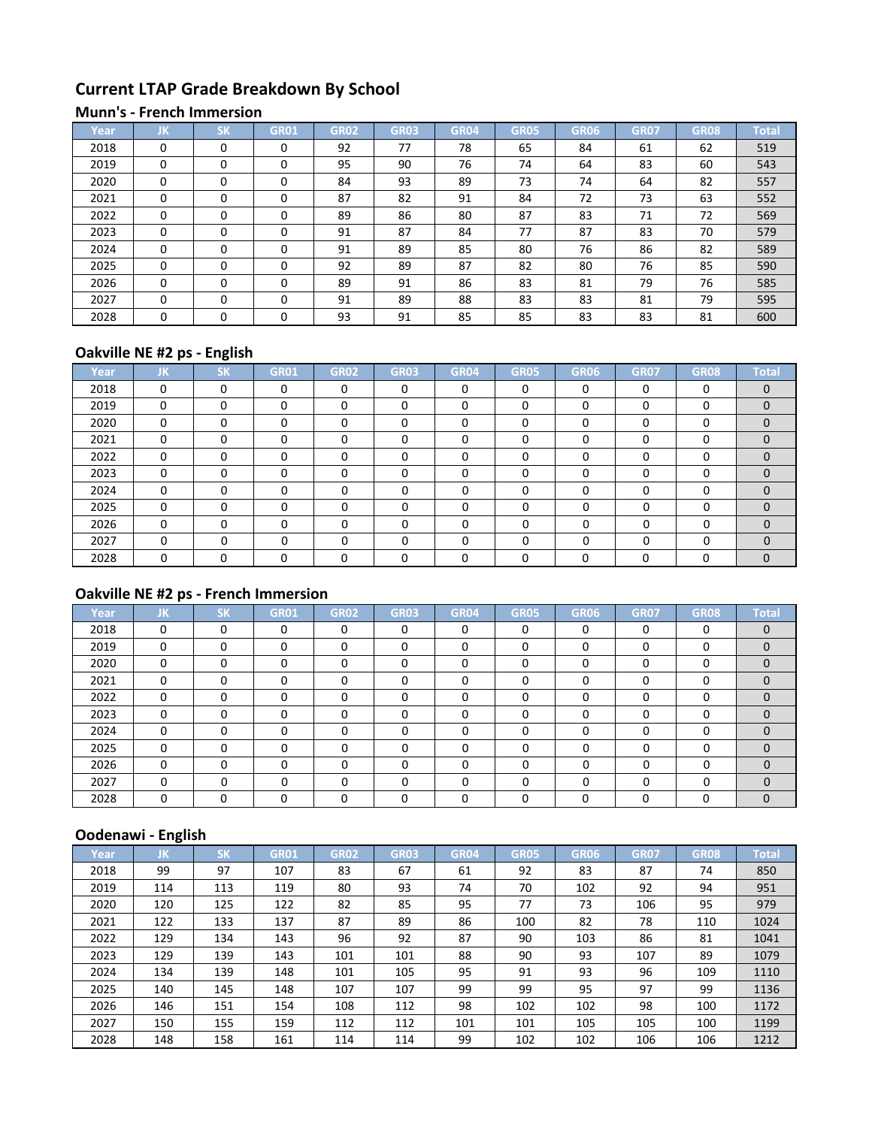# **Current LTAP Grade Breakdown By School**

#### **Munn's - French Immersion**

| Year | JK       | $c\nu$<br>ы | GR01     | <b>GR02</b> | <b>GR03</b> | <b>GR04</b> | <b>GR05</b> | GR06 | <b>GR07</b> | GR08 | <b>Total</b> |
|------|----------|-------------|----------|-------------|-------------|-------------|-------------|------|-------------|------|--------------|
| 2018 | $\Omega$ | $\Omega$    | 0        | 92          | 77          | 78          | 65          | 84   | 61          | 62   | 519          |
| 2019 | $\Omega$ | $\Omega$    | 0        | 95          | 90          | 76          | 74          | 64   | 83          | 60   | 543          |
| 2020 | $\Omega$ | $\Omega$    | 0        | 84          | 93          | 89          | 73          | 74   | 64          | 82   | 557          |
| 2021 | $\Omega$ | $\Omega$    | 0        | 87          | 82          | 91          | 84          | 72   | 73          | 63   | 552          |
| 2022 | $\Omega$ | $\Omega$    | $\Omega$ | 89          | 86          | 80          | 87          | 83   | 71          | 72   | 569          |
| 2023 | $\Omega$ | $\Omega$    | 0        | 91          | 87          | 84          | 77          | 87   | 83          | 70   | 579          |
| 2024 | $\Omega$ | $\Omega$    | $\Omega$ | 91          | 89          | 85          | 80          | 76   | 86          | 82   | 589          |
| 2025 | $\Omega$ | $\Omega$    | 0        | 92          | 89          | 87          | 82          | 80   | 76          | 85   | 590          |
| 2026 | $\Omega$ | $\Omega$    | 0        | 89          | 91          | 86          | 83          | 81   | 79          | 76   | 585          |
| 2027 | $\Omega$ | $\Omega$    | $\Omega$ | 91          | 89          | 88          | 83          | 83   | 81          | 79   | 595          |
| 2028 | $\Omega$ | $\Omega$    | 0        | 93          | 91          | 85          | 85          | 83   | 83          | 81   | 600          |

# **Oakville NE #2 ps - English**

| Year | JΚ.      | <b>SK</b> | <b>GR01</b> | <b>GR02</b> | <b>GR03</b> | <b>GR04</b> | <b>GR05</b> | <b>GR06</b> | <b>GR07</b> | <b>GR08</b> | <b>Total</b> |
|------|----------|-----------|-------------|-------------|-------------|-------------|-------------|-------------|-------------|-------------|--------------|
| 2018 | $\Omega$ | $\Omega$  | 0           | 0           | 0           | $\Omega$    | $\Omega$    | $\Omega$    | $\Omega$    | $\Omega$    | $\Omega$     |
| 2019 | 0        | $\Omega$  | 0           | 0           | 0           | $\Omega$    | $\Omega$    | 0           | $\Omega$    | 0           | $\Omega$     |
| 2020 | 0        | $\Omega$  | 0           | 0           | 0           | 0           | O           | 0           | $\Omega$    | 0           | $\Omega$     |
| 2021 | $\Omega$ | $\Omega$  | 0           | 0           | $\Omega$    | $\Omega$    | n           | ∩           | $\Omega$    | $\Omega$    | $\Omega$     |
| 2022 | $\Omega$ | $\Omega$  | $\Omega$    | $\Omega$    | $\Omega$    | $\Omega$    |             | O           | $\Omega$    | $\Omega$    | $\Omega$     |
| 2023 | $\Omega$ | $\Omega$  | $\Omega$    | 0           | $\Omega$    | $\Omega$    |             | U           | $\Omega$    | $\Omega$    | $\Omega$     |
| 2024 | $\Omega$ | $\Omega$  | 0           | 0           | $\Omega$    | 0           |             | O           | $\Omega$    | $\Omega$    | $\Omega$     |
| 2025 | $\Omega$ | $\Omega$  | $\Omega$    | 0           | 0           | 0           |             | O           | $\Omega$    | $\Omega$    | $\Omega$     |
| 2026 | 0        | $\Omega$  | $\Omega$    | 0           | 0           | 0           | O           | ŋ           | $\Omega$    | $\Omega$    | $\Omega$     |
| 2027 | 0        | $\Omega$  | 0           | 0           | 0           | 0           |             |             | $\Omega$    | $\Omega$    | $\Omega$     |
| 2028 | $\Omega$ | $\Omega$  |             |             |             | ∩           |             | ∩           | $\Omega$    | $\Omega$    | $\Omega$     |

# **Oakville NE #2 ps - French Immersion**

| Year | JK       | <b>SK</b> | <b>GR01</b> | <b>GR02</b> | <b>GR03</b> | <b>GR04</b> | <b>GR05</b> | <b>GR06</b> | <b>GR07</b> | <b>GR08</b> | <b>Total</b> |
|------|----------|-----------|-------------|-------------|-------------|-------------|-------------|-------------|-------------|-------------|--------------|
| 2018 | 0        | 0         | $\Omega$    | $\Omega$    | $\Omega$    | $\Omega$    | $\Omega$    | $\Omega$    | $\Omega$    | $\Omega$    | $\Omega$     |
| 2019 | 0        | 0         | 0           | 0           | O           | 0           | $\Omega$    | 0           | 0           | 0           | $\Omega$     |
| 2020 | 0        | 0         | 0           | 0           | 0           | $\Omega$    | 0           | 0           | 0           | $\Omega$    | $\Omega$     |
| 2021 | 0        | 0         | 0           | 0           | $\Omega$    | $\Omega$    | $\Omega$    | O           | $\Omega$    | $\Omega$    | $\Omega$     |
| 2022 | $\Omega$ | 0         | 0           | O           | U           | $\Omega$    | n           | O           | $\Omega$    | $\Omega$    | $\Omega$     |
| 2023 | $\Omega$ | $\Omega$  | $\Omega$    | O           | n           | O           | n           | $\Omega$    | $\Omega$    | $\Omega$    | $\Omega$     |
| 2024 | $\Omega$ | $\Omega$  | $\Omega$    | U           | ∩           | O           | n           | O           | $\Omega$    | $\Omega$    | $\Omega$     |
| 2025 | $\Omega$ | 0         | $\Omega$    | 0           | $\Omega$    | $\Omega$    | n           | O           | $\Omega$    | $\Omega$    | $\Omega$     |
| 2026 | 0        | 0         |             | 0           | 0           | 0           | C           | ∩           | 0           | 0           | $\Omega$     |
| 2027 | U        | 0         | 0           | U           | 0           | 0           |             | O           | $\Omega$    | $\Omega$    | $\Omega$     |
| 2028 | 0        | 0         |             |             | U           | 0           |             | 0           | $\Omega$    | 0           | $\Omega$     |

| Year | IJΚ | <b>SK</b> | <b>GR01</b> | <b>GR02</b> | <b>GR03</b> | <b>GR04</b> | <b>GR05</b> | GR06 | <b>GR07</b> | <b>GR08</b> | <b>Total</b> |
|------|-----|-----------|-------------|-------------|-------------|-------------|-------------|------|-------------|-------------|--------------|
| 2018 | 99  | 97        | 107         | 83          | 67          | 61          | 92          | 83   | 87          | 74          | 850          |
| 2019 | 114 | 113       | 119         | 80          | 93          | 74          | 70          | 102  | 92          | 94          | 951          |
| 2020 | 120 | 125       | 122         | 82          | 85          | 95          | 77          | 73   | 106         | 95          | 979          |
| 2021 | 122 | 133       | 137         | 87          | 89          | 86          | 100         | 82   | 78          | 110         | 1024         |
| 2022 | 129 | 134       | 143         | 96          | 92          | 87          | 90          | 103  | 86          | 81          | 1041         |
| 2023 | 129 | 139       | 143         | 101         | 101         | 88          | 90          | 93   | 107         | 89          | 1079         |
| 2024 | 134 | 139       | 148         | 101         | 105         | 95          | 91          | 93   | 96          | 109         | 1110         |
| 2025 | 140 | 145       | 148         | 107         | 107         | 99          | 99          | 95   | 97          | 99          | 1136         |
| 2026 | 146 | 151       | 154         | 108         | 112         | 98          | 102         | 102  | 98          | 100         | 1172         |
| 2027 | 150 | 155       | 159         | 112         | 112         | 101         | 101         | 105  | 105         | 100         | 1199         |
| 2028 | 148 | 158       | 161         | 114         | 114         | 99          | 102         | 102  | 106         | 106         | 1212         |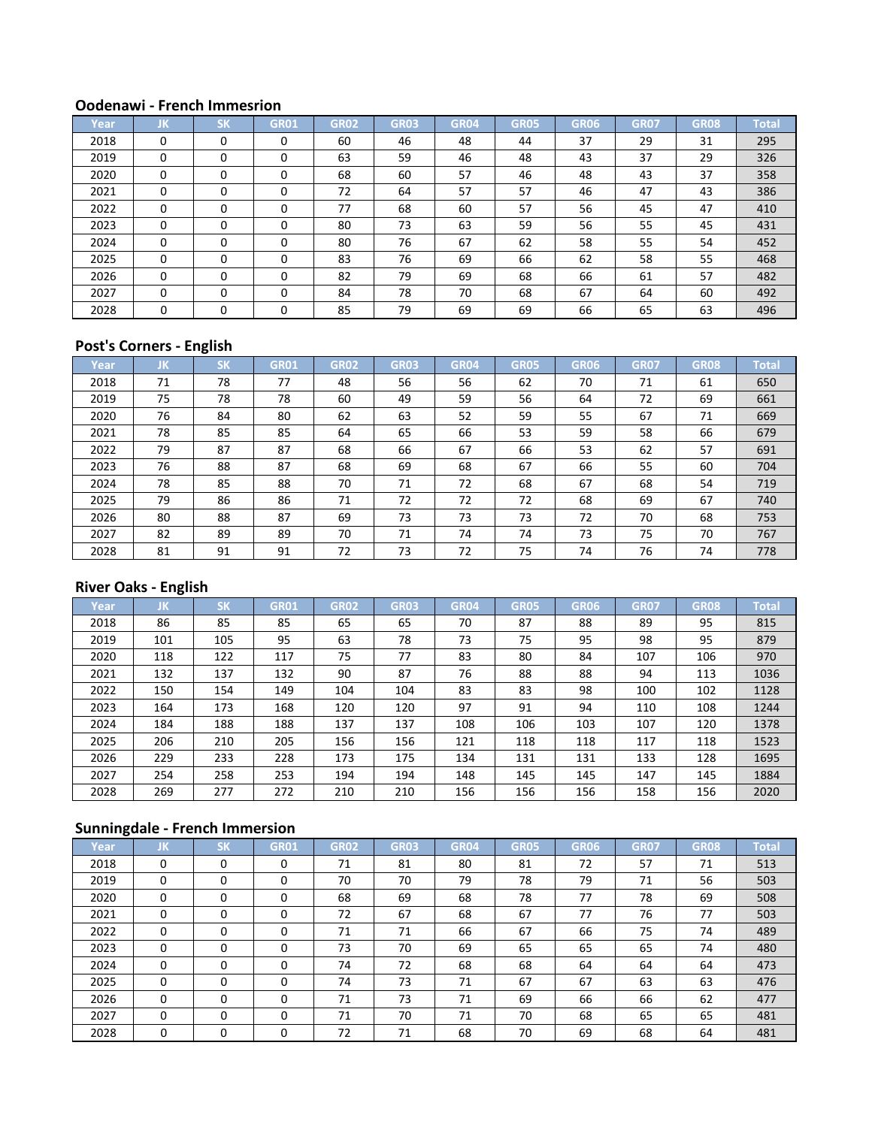| Year | IJΚ      | <b>SK</b> | <b>GR01</b> | <b>GR02</b> | <b>GR03</b> | <b>GR04</b> | <b>GR05</b> | GR06 | <b>GR07</b> | <b>GR08</b> | <b>Total</b> |
|------|----------|-----------|-------------|-------------|-------------|-------------|-------------|------|-------------|-------------|--------------|
| 2018 | 0        | $\Omega$  |             | 60          | 46          | 48          | 44          | 37   | 29          | 31          | 295          |
| 2019 | 0        | $\Omega$  |             | 63          | 59          | 46          | 48          | 43   | 37          | 29          | 326          |
| 2020 | $\Omega$ | $\Omega$  |             | 68          | 60          | 57          | 46          | 48   | 43          | 37          | 358          |
| 2021 | $\Omega$ | $\Omega$  |             | 72          | 64          | 57          | 57          | 46   | 47          | 43          | 386          |
| 2022 | 0        | $\Omega$  |             | 77          | 68          | 60          | 57          | 56   | 45          | 47          | 410          |
| 2023 | 0        | $\Omega$  | 0           | 80          | 73          | 63          | 59          | 56   | 55          | 45          | 431          |
| 2024 | $\Omega$ | $\Omega$  | 0           | 80          | 76          | 67          | 62          | 58   | 55          | 54          | 452          |
| 2025 | $\Omega$ | $\Omega$  | $\Omega$    | 83          | 76          | 69          | 66          | 62   | 58          | 55          | 468          |
| 2026 | $\Omega$ | $\Omega$  | 0           | 82          | 79          | 69          | 68          | 66   | 61          | 57          | 482          |
| 2027 | $\Omega$ | $\Omega$  | $\Omega$    | 84          | 78          | 70          | 68          | 67   | 64          | 60          | 492          |
| 2028 | $\Omega$ | $\Omega$  |             | 85          | 79          | 69          | 69          | 66   | 65          | 63          | 496          |

## **Post's Corners - English**

| Year | JK | <b>SK</b> | <b>GR01</b> | <b>GR02</b> | <b>GR03</b> | <b>GR04</b> | <b>GR05</b> | GR06 | <b>GR07</b> | <b>GR08</b> | <b>Total</b> |
|------|----|-----------|-------------|-------------|-------------|-------------|-------------|------|-------------|-------------|--------------|
| 2018 | 71 | 78        | 77          | 48          | 56          | 56          | 62          | 70   | 71          | 61          | 650          |
| 2019 | 75 | 78        | 78          | 60          | 49          | 59          | 56          | 64   | 72          | 69          | 661          |
| 2020 | 76 | 84        | 80          | 62          | 63          | 52          | 59          | 55   | 67          | 71          | 669          |
| 2021 | 78 | 85        | 85          | 64          | 65          | 66          | 53          | 59   | 58          | 66          | 679          |
| 2022 | 79 | 87        | 87          | 68          | 66          | 67          | 66          | 53   | 62          | 57          | 691          |
| 2023 | 76 | 88        | 87          | 68          | 69          | 68          | 67          | 66   | 55          | 60          | 704          |
| 2024 | 78 | 85        | 88          | 70          | 71          | 72          | 68          | 67   | 68          | 54          | 719          |
| 2025 | 79 | 86        | 86          | 71          | 72          | 72          | 72          | 68   | 69          | 67          | 740          |
| 2026 | 80 | 88        | 87          | 69          | 73          | 73          | 73          | 72   | 70          | 68          | 753          |
| 2027 | 82 | 89        | 89          | 70          | 71          | 74          | 74          | 73   | 75          | 70          | 767          |
| 2028 | 81 | 91        | 91          | 72          | 73          | 72          | 75          | 74   | 76          | 74          | 778          |

## **River Oaks - English**

| Year | IJΚ. | <b>SK</b> | <b>GR01</b> | <b>GR02</b> | <b>GR03</b> | <b>GR04</b> | <b>GR05</b> | <b>GR06</b> | <b>GR07</b> | <b>GR08</b> | <b>Total</b> |
|------|------|-----------|-------------|-------------|-------------|-------------|-------------|-------------|-------------|-------------|--------------|
| 2018 | 86   | 85        | 85          | 65          | 65          | 70          | 87          | 88          | 89          | 95          | 815          |
| 2019 | 101  | 105       | 95          | 63          | 78          | 73          | 75          | 95          | 98          | 95          | 879          |
| 2020 | 118  | 122       | 117         | 75          | 77          | 83          | 80          | 84          | 107         | 106         | 970          |
| 2021 | 132  | 137       | 132         | 90          | 87          | 76          | 88          | 88          | 94          | 113         | 1036         |
| 2022 | 150  | 154       | 149         | 104         | 104         | 83          | 83          | 98          | 100         | 102         | 1128         |
| 2023 | 164  | 173       | 168         | 120         | 120         | 97          | 91          | 94          | 110         | 108         | 1244         |
| 2024 | 184  | 188       | 188         | 137         | 137         | 108         | 106         | 103         | 107         | 120         | 1378         |
| 2025 | 206  | 210       | 205         | 156         | 156         | 121         | 118         | 118         | 117         | 118         | 1523         |
| 2026 | 229  | 233       | 228         | 173         | 175         | 134         | 131         | 131         | 133         | 128         | 1695         |
| 2027 | 254  | 258       | 253         | 194         | 194         | 148         | 145         | 145         | 147         | 145         | 1884         |
| 2028 | 269  | 277       | 272         | 210         | 210         | 156         | 156         | 156         | 158         | 156         | 2020         |

| Year | IJΚ      | <b>SK</b> | <b>GR01</b> | <b>GR02</b> | <b>GR03</b> | <b>GR04</b> | <b>GR05</b> | <b>GR06</b> | <b>GR07</b> | <b>GR08</b> | <b>Total</b> |
|------|----------|-----------|-------------|-------------|-------------|-------------|-------------|-------------|-------------|-------------|--------------|
| 2018 | $\Omega$ | 0         | 0           | 71          | 81          | 80          | 81          | 72          | 57          | 71          | 513          |
| 2019 | $\Omega$ | $\Omega$  | 0           | 70          | 70          | 79          | 78          | 79          | 71          | 56          | 503          |
| 2020 | $\Omega$ | $\Omega$  | 0           | 68          | 69          | 68          | 78          | 77          | 78          | 69          | 508          |
| 2021 | $\Omega$ | $\Omega$  | $\Omega$    | 72          | 67          | 68          | 67          | 77          | 76          | 77          | 503          |
| 2022 | $\Omega$ | $\Omega$  | $\Omega$    | 71          | 71          | 66          | 67          | 66          | 75          | 74          | 489          |
| 2023 | $\Omega$ | $\Omega$  | $\Omega$    | 73          | 70          | 69          | 65          | 65          | 65          | 74          | 480          |
| 2024 | $\Omega$ | $\Omega$  | 0           | 74          | 72          | 68          | 68          | 64          | 64          | 64          | 473          |
| 2025 | $\Omega$ | $\Omega$  | $\Omega$    | 74          | 73          | 71          | 67          | 67          | 63          | 63          | 476          |
| 2026 | $\Omega$ | $\Omega$  | $\Omega$    | 71          | 73          | 71          | 69          | 66          | 66          | 62          | 477          |
| 2027 | $\Omega$ | $\Omega$  | $\Omega$    | 71          | 70          | 71          | 70          | 68          | 65          | 65          | 481          |
| 2028 | 0        | 0         | 0           | 72          | 71          | 68          | 70          | 69          | 68          | 64          | 481          |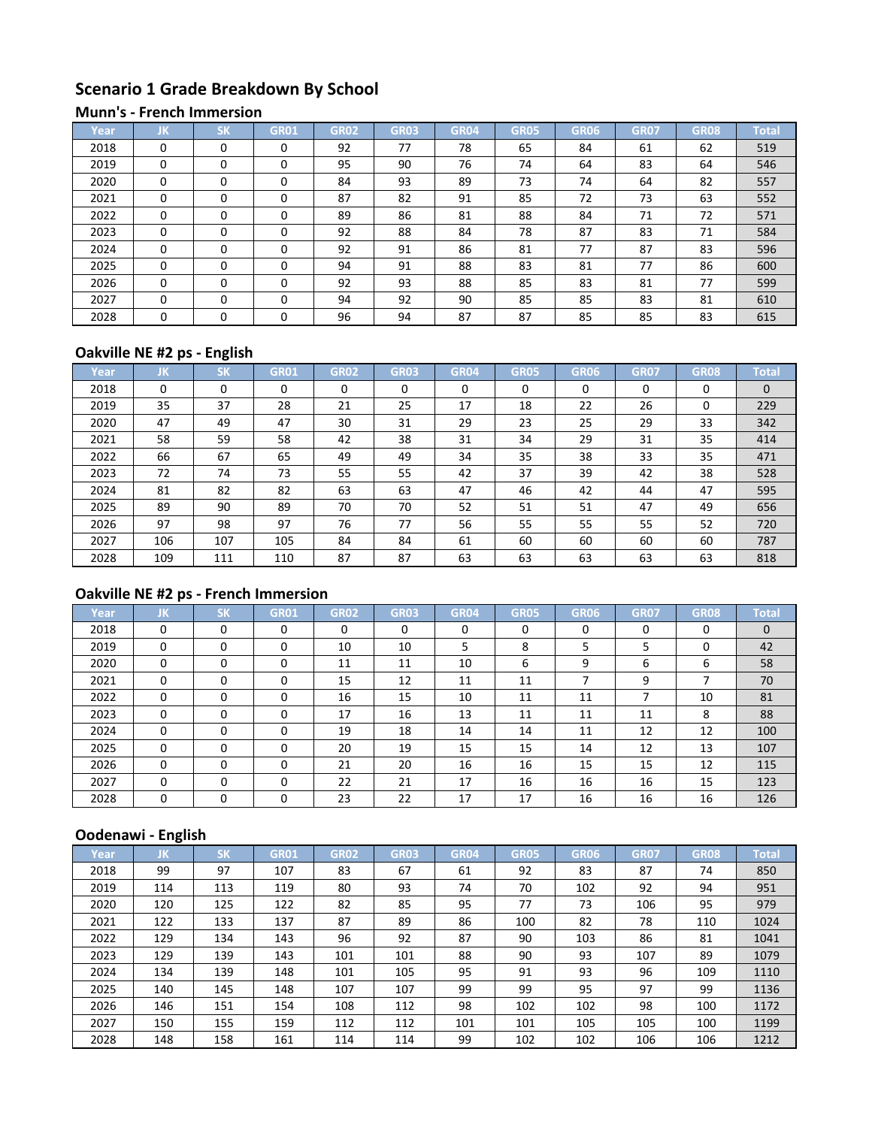# **Scenario 1 Grade Breakdown By School**

#### **Munn's - French Immersion**

| Year | JK       | CM       | GR01     | <b>GR02</b> | <b>GR03</b> | GR <sub>04</sub> | <b>GR05</b> | GR06 | <b>GR07</b> | <b>GR08</b> | <b>Total</b> |
|------|----------|----------|----------|-------------|-------------|------------------|-------------|------|-------------|-------------|--------------|
| 2018 | $\Omega$ | $\Omega$ | $\Omega$ | 92          | 77          | 78               | 65          | 84   | 61          | 62          | 519          |
| 2019 | $\Omega$ | $\Omega$ | 0        | 95          | 90          | 76               | 74          | 64   | 83          | 64          | 546          |
| 2020 | $\Omega$ | $\Omega$ | 0        | 84          | 93          | 89               | 73          | 74   | 64          | 82          | 557          |
| 2021 | $\Omega$ | $\Omega$ | 0        | 87          | 82          | 91               | 85          | 72   | 73          | 63          | 552          |
| 2022 | $\Omega$ | $\Omega$ | $\Omega$ | 89          | 86          | 81               | 88          | 84   | 71          | 72          | 571          |
| 2023 | $\Omega$ | $\Omega$ | 0        | 92          | 88          | 84               | 78          | 87   | 83          | 71          | 584          |
| 2024 | $\Omega$ | $\Omega$ | 0        | 92          | 91          | 86               | 81          | 77   | 87          | 83          | 596          |
| 2025 | $\Omega$ | $\Omega$ | 0        | 94          | 91          | 88               | 83          | 81   | 77          | 86          | 600          |
| 2026 | $\Omega$ | $\Omega$ | 0        | 92          | 93          | 88               | 85          | 83   | 81          | 77          | 599          |
| 2027 | $\Omega$ | $\Omega$ | 0        | 94          | 92          | 90               | 85          | 85   | 83          | 81          | 610          |
| 2028 | $\Omega$ | $\Omega$ | 0        | 96          | 94          | 87               | 87          | 85   | 85          | 83          | 615          |

# **Oakville NE #2 ps - English**

| Year | IJΚ. | <b>SK</b> | <b>GR01</b> | <b>GR02</b> | <b>GR03</b> | GR04 | <b>GR05</b> | GR06 | GR <sub>07</sub> | <b>GR08</b> | Total    |
|------|------|-----------|-------------|-------------|-------------|------|-------------|------|------------------|-------------|----------|
| 2018 | 0    | 0         | 0           | 0           | $\Omega$    | 0    | $\Omega$    | 0    | 0                | 0           | $\Omega$ |
| 2019 | 35   | 37        | 28          | 21          | 25          | 17   | 18          | 22   | 26               | 0           | 229      |
| 2020 | 47   | 49        | 47          | 30          | 31          | 29   | 23          | 25   | 29               | 33          | 342      |
| 2021 | 58   | 59        | 58          | 42          | 38          | 31   | 34          | 29   | 31               | 35          | 414      |
| 2022 | 66   | 67        | 65          | 49          | 49          | 34   | 35          | 38   | 33               | 35          | 471      |
| 2023 | 72   | 74        | 73          | 55          | 55          | 42   | 37          | 39   | 42               | 38          | 528      |
| 2024 | 81   | 82        | 82          | 63          | 63          | 47   | 46          | 42   | 44               | 47          | 595      |
| 2025 | 89   | 90        | 89          | 70          | 70          | 52   | 51          | 51   | 47               | 49          | 656      |
| 2026 | 97   | 98        | 97          | 76          | 77          | 56   | 55          | 55   | 55               | 52          | 720      |
| 2027 | 106  | 107       | 105         | 84          | 84          | 61   | 60          | 60   | 60               | 60          | 787      |
| 2028 | 109  | 111       | 110         | 87          | 87          | 63   | 63          | 63   | 63               | 63          | 818      |

# **Oakville NE #2 ps - French Immersion**

| Year | JK       | <b>SK</b> | <b>GR01</b> | GR02 | <b>GR03</b> | <b>GR04</b> | <b>GR05</b> | GR06     | <b>GR07</b> | <b>GR08</b> | <b>Total</b> |
|------|----------|-----------|-------------|------|-------------|-------------|-------------|----------|-------------|-------------|--------------|
| 2018 | $\Omega$ | $\Omega$  | $\Omega$    | 0    | $\Omega$    | $\Omega$    | $\Omega$    | $\Omega$ | $\Omega$    | $\Omega$    | $\mathbf{0}$ |
| 2019 | $\Omega$ | 0         | 0           | 10   | 10          | 5           | 8           | 5        | 5           | 0           | 42           |
| 2020 | $\Omega$ | 0         | $\Omega$    | 11   | 11          | 10          | 6           | 9        | 6           | 6           | 58           |
| 2021 | $\Omega$ | 0         | $\Omega$    | 15   | 12          | 11          | 11          | ⇁        | 9           | ⇁           | 70           |
| 2022 | 0        | $\Omega$  | $\Omega$    | 16   | 15          | 10          | 11          | 11       |             | 10          | 81           |
| 2023 | $\Omega$ | $\Omega$  | $\Omega$    | 17   | 16          | 13          | 11          | 11       | 11          | 8           | 88           |
| 2024 | $\Omega$ | $\Omega$  | $\Omega$    | 19   | 18          | 14          | 14          | 11       | 12          | 12          | 100          |
| 2025 | $\Omega$ | $\Omega$  | $\Omega$    | 20   | 19          | 15          | 15          | 14       | 12          | 13          | 107          |
| 2026 | 0        | 0         | 0           | 21   | 20          | 16          | 16          | 15       | 15          | 12          | 115          |
| 2027 | $\Omega$ | $\Omega$  | 0           | 22   | 21          | 17          | 16          | 16       | 16          | 15          | 123          |
| 2028 | $\Omega$ | 0         | $\Omega$    | 23   | 22          | 17          | 17          | 16       | 16          | 16          | 126          |

| Year | IJΚ | <b>SK</b> | <b>GR01</b> | <b>GR02</b> | <b>GR03</b> | <b>GR04</b> | <b>GR05</b> | GR06 | <b>GR07</b> | <b>GR08</b> | <b>Total</b> |
|------|-----|-----------|-------------|-------------|-------------|-------------|-------------|------|-------------|-------------|--------------|
| 2018 | 99  | 97        | 107         | 83          | 67          | 61          | 92          | 83   | 87          | 74          | 850          |
| 2019 | 114 | 113       | 119         | 80          | 93          | 74          | 70          | 102  | 92          | 94          | 951          |
| 2020 | 120 | 125       | 122         | 82          | 85          | 95          | 77          | 73   | 106         | 95          | 979          |
| 2021 | 122 | 133       | 137         | 87          | 89          | 86          | 100         | 82   | 78          | 110         | 1024         |
| 2022 | 129 | 134       | 143         | 96          | 92          | 87          | 90          | 103  | 86          | 81          | 1041         |
| 2023 | 129 | 139       | 143         | 101         | 101         | 88          | 90          | 93   | 107         | 89          | 1079         |
| 2024 | 134 | 139       | 148         | 101         | 105         | 95          | 91          | 93   | 96          | 109         | 1110         |
| 2025 | 140 | 145       | 148         | 107         | 107         | 99          | 99          | 95   | 97          | 99          | 1136         |
| 2026 | 146 | 151       | 154         | 108         | 112         | 98          | 102         | 102  | 98          | 100         | 1172         |
| 2027 | 150 | 155       | 159         | 112         | 112         | 101         | 101         | 105  | 105         | 100         | 1199         |
| 2028 | 148 | 158       | 161         | 114         | 114         | 99          | 102         | 102  | 106         | 106         | 1212         |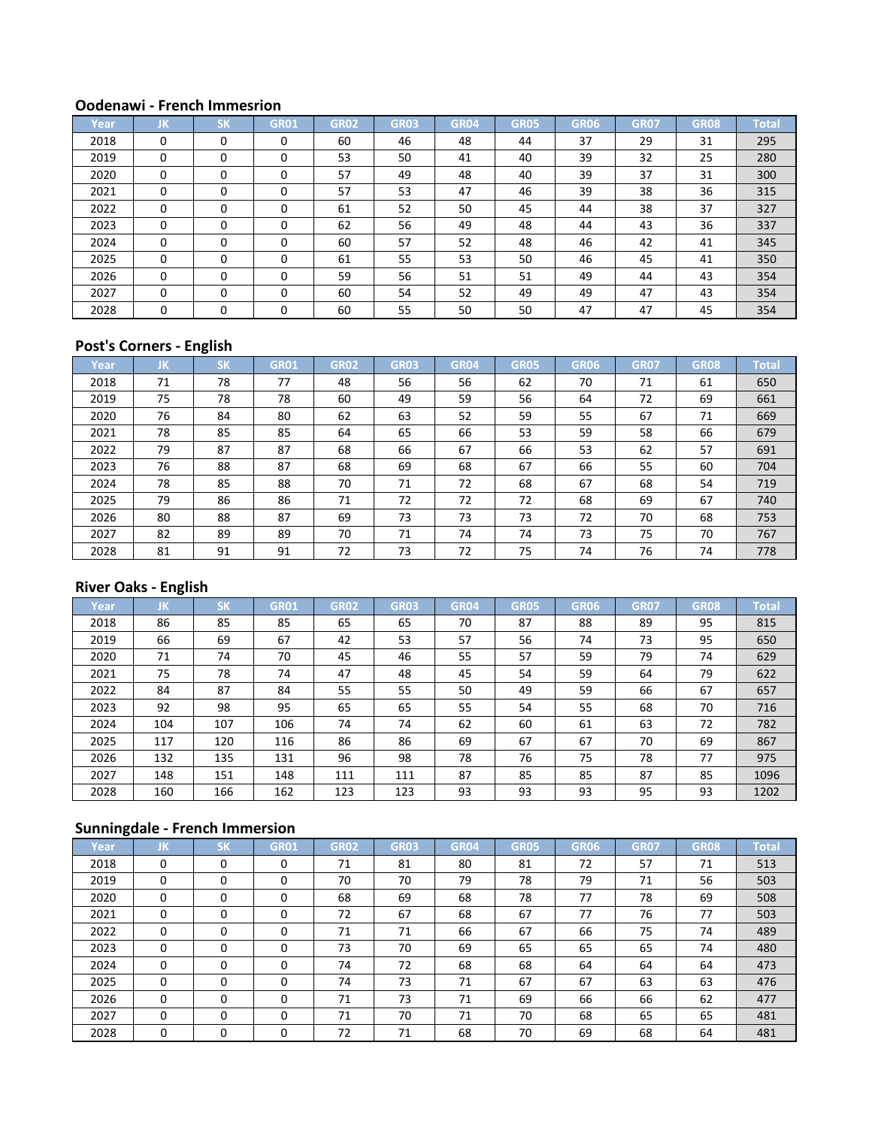| Year | JK       | <b>SK</b> | <b>GR01</b> | <b>GR02</b> | <b>GR03</b> | <b>GR04</b> | <b>GR05</b> | <b>GR06</b> | <b>GR07</b> | <b>GR08</b> | <b>Total</b> |
|------|----------|-----------|-------------|-------------|-------------|-------------|-------------|-------------|-------------|-------------|--------------|
| 2018 | $\Omega$ | $\Omega$  | 0           | 60          | 46          | 48          | 44          | 37          | 29          | 31          | 295          |
| 2019 | $\Omega$ | $\Omega$  | 0           | 53          | 50          | 41          | 40          | 39          | 32          | 25          | 280          |
| 2020 | $\Omega$ | $\Omega$  | $\Omega$    | 57          | 49          | 48          | 40          | 39          | 37          | 31          | 300          |
| 2021 | $\Omega$ | $\Omega$  | $\Omega$    | 57          | 53          | 47          | 46          | 39          | 38          | 36          | 315          |
| 2022 | $\Omega$ | $\Omega$  | $\Omega$    | 61          | 52          | 50          | 45          | 44          | 38          | 37          | 327          |
| 2023 | $\Omega$ | $\Omega$  |             | 62          | 56          | 49          | 48          | 44          | 43          | 36          | 337          |
| 2024 | $\Omega$ | $\Omega$  |             | 60          | 57          | 52          | 48          | 46          | 42          | 41          | 345          |
| 2025 | $\Omega$ | $\Omega$  |             | 61          | 55          | 53          | 50          | 46          | 45          | 41          | 350          |
| 2026 | $\Omega$ | $\Omega$  | $\Omega$    | 59          | 56          | 51          | 51          | 49          | 44          | 43          | 354          |
| 2027 | $\Omega$ | $\Omega$  |             | 60          | 54          | 52          | 49          | 49          | 47          | 43          | 354          |
| 2028 | $\Omega$ | $\Omega$  | $\Omega$    | 60          | 55          | 50          | 50          | 47          | 47          | 45          | 354          |

## **Post's Corners - English**

| Year | JK | <b>SK</b> | <b>GR01</b> | <b>GR02</b> | <b>GR03</b> | <b>GR04</b> | <b>GR05</b> | <b>GR06</b> | <b>GR07</b> | <b>GR08</b> | <b>Total</b> |
|------|----|-----------|-------------|-------------|-------------|-------------|-------------|-------------|-------------|-------------|--------------|
| 2018 | 71 | 78        | 77          | 48          | 56          | 56          | 62          | 70          | 71          | 61          | 650          |
| 2019 | 75 | 78        | 78          | 60          | 49          | 59          | 56          | 64          | 72          | 69          | 661          |
| 2020 | 76 | 84        | 80          | 62          | 63          | 52          | 59          | 55          | 67          | 71          | 669          |
| 2021 | 78 | 85        | 85          | 64          | 65          | 66          | 53          | 59          | 58          | 66          | 679          |
| 2022 | 79 | 87        | 87          | 68          | 66          | 67          | 66          | 53          | 62          | 57          | 691          |
| 2023 | 76 | 88        | 87          | 68          | 69          | 68          | 67          | 66          | 55          | 60          | 704          |
| 2024 | 78 | 85        | 88          | 70          | 71          | 72          | 68          | 67          | 68          | 54          | 719          |
| 2025 | 79 | 86        | 86          | 71          | 72          | 72          | 72          | 68          | 69          | 67          | 740          |
| 2026 | 80 | 88        | 87          | 69          | 73          | 73          | 73          | 72          | 70          | 68          | 753          |
| 2027 | 82 | 89        | 89          | 70          | 71          | 74          | 74          | 73          | 75          | 70          | 767          |
| 2028 | 81 | 91        | 91          | 72          | 73          | 72          | 75          | 74          | 76          | 74          | 778          |

## **River Oaks - English**

| Year | JΚ. | <b>SK</b> | <b>GR01</b> | <b>GR02</b> | <b>GR03</b> | <b>GR04</b> | <b>GR05</b> | <b>GR06</b> | <b>GR07</b> | GR <sub>08</sub> | <b>Total</b> |
|------|-----|-----------|-------------|-------------|-------------|-------------|-------------|-------------|-------------|------------------|--------------|
| 2018 | 86  | 85        | 85          | 65          | 65          | 70          | 87          | 88          | 89          | 95               | 815          |
| 2019 | 66  | 69        | 67          | 42          | 53          | 57          | 56          | 74          | 73          | 95               | 650          |
| 2020 | 71  | 74        | 70          | 45          | 46          | 55          | 57          | 59          | 79          | 74               | 629          |
| 2021 | 75  | 78        | 74          | 47          | 48          | 45          | 54          | 59          | 64          | 79               | 622          |
| 2022 | 84  | 87        | 84          | 55          | 55          | 50          | 49          | 59          | 66          | 67               | 657          |
| 2023 | 92  | 98        | 95          | 65          | 65          | 55          | 54          | 55          | 68          | 70               | 716          |
| 2024 | 104 | 107       | 106         | 74          | 74          | 62          | 60          | 61          | 63          | 72               | 782          |
| 2025 | 117 | 120       | 116         | 86          | 86          | 69          | 67          | 67          | 70          | 69               | 867          |
| 2026 | 132 | 135       | 131         | 96          | 98          | 78          | 76          | 75          | 78          | 77               | 975          |
| 2027 | 148 | 151       | 148         | 111         | 111         | 87          | 85          | 85          | 87          | 85               | 1096         |
| 2028 | 160 | 166       | 162         | 123         | 123         | 93          | 93          | 93          | 95          | 93               | 1202         |

| Year | IJΚ.     | <b>SK</b> | <b>GR01</b> | <b>GR02</b> | <b>GR03</b> | <b>GR04</b> | <b>GR05</b> | <b>GR06</b> | <b>GR07</b> | <b>GR08</b> | Total |
|------|----------|-----------|-------------|-------------|-------------|-------------|-------------|-------------|-------------|-------------|-------|
| 2018 | 0        | $\Omega$  | 0           | 71          | 81          | 80          | 81          | 72          | 57          | 71          | 513   |
| 2019 | $\Omega$ | $\Omega$  | $\Omega$    | 70          | 70          | 79          | 78          | 79          | 71          | 56          | 503   |
| 2020 | $\Omega$ | $\Omega$  | $\Omega$    | 68          | 69          | 68          | 78          | 77          | 78          | 69          | 508   |
| 2021 | $\Omega$ | $\Omega$  | $\Omega$    | 72          | 67          | 68          | 67          | 77          | 76          | 77          | 503   |
| 2022 | $\Omega$ | $\Omega$  | $\Omega$    | 71          | 71          | 66          | 67          | 66          | 75          | 74          | 489   |
| 2023 | $\Omega$ | $\Omega$  | 0           | 73          | 70          | 69          | 65          | 65          | 65          | 74          | 480   |
| 2024 | $\Omega$ | 0         | 0           | 74          | 72          | 68          | 68          | 64          | 64          | 64          | 473   |
| 2025 | $\Omega$ | $\Omega$  | $\Omega$    | 74          | 73          | 71          | 67          | 67          | 63          | 63          | 476   |
| 2026 | $\Omega$ | $\Omega$  | $\Omega$    | 71          | 73          | 71          | 69          | 66          | 66          | 62          | 477   |
| 2027 | $\Omega$ | $\Omega$  | $\Omega$    | 71          | 70          | 71          | 70          | 68          | 65          | 65          | 481   |
| 2028 | 0        | 0         | 0           | 72          | 71          | 68          | 70          | 69          | 68          | 64          | 481   |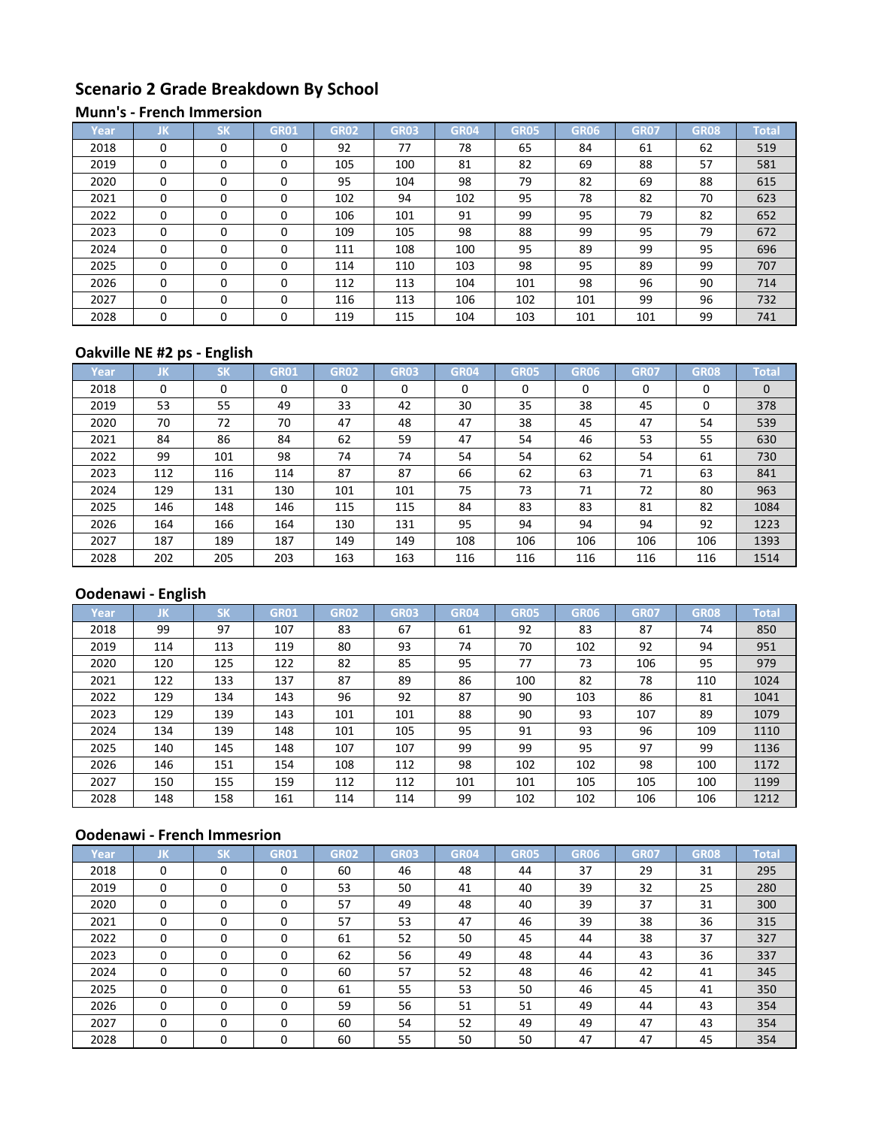# **Scenario 2 Grade Breakdown By School**

#### **Munn's - French Immersion**

| Year | JK       | $c\nu$<br>эN | GR01     | <b>GR02</b> | <b>GR03</b> | <b>GR04</b> | <b>GR05</b> | GR06 | <b>GR07</b> | GR08 | <b>Total</b> |
|------|----------|--------------|----------|-------------|-------------|-------------|-------------|------|-------------|------|--------------|
| 2018 | $\Omega$ | $\Omega$     | 0        | 92          | 77          | 78          | 65          | 84   | 61          | 62   | 519          |
| 2019 | $\Omega$ | $\Omega$     | 0        | 105         | 100         | 81          | 82          | 69   | 88          | 57   | 581          |
| 2020 | $\Omega$ | $\Omega$     | 0        | 95          | 104         | 98          | 79          | 82   | 69          | 88   | 615          |
| 2021 | $\Omega$ | $\Omega$     | $\Omega$ | 102         | 94          | 102         | 95          | 78   | 82          | 70   | 623          |
| 2022 | $\Omega$ | $\Omega$     | $\Omega$ | 106         | 101         | 91          | 99          | 95   | 79          | 82   | 652          |
| 2023 | $\Omega$ | $\Omega$     | $\Omega$ | 109         | 105         | 98          | 88          | 99   | 95          | 79   | 672          |
| 2024 | $\Omega$ | $\Omega$     | 0        | 111         | 108         | 100         | 95          | 89   | 99          | 95   | 696          |
| 2025 | $\Omega$ | $\Omega$     | $\Omega$ | 114         | 110         | 103         | 98          | 95   | 89          | 99   | 707          |
| 2026 | $\Omega$ | $\Omega$     | 0        | 112         | 113         | 104         | 101         | 98   | 96          | 90   | 714          |
| 2027 | $\Omega$ | $\Omega$     | $\Omega$ | 116         | 113         | 106         | 102         | 101  | 99          | 96   | 732          |
| 2028 | $\Omega$ | $\Omega$     | 0        | 119         | 115         | 104         | 103         | 101  | 101         | 99   | 741          |

## **Oakville NE #2 ps - English**

| Year | IJΚ. | <b>SK</b> | <b>GR01</b> | <b>GR02</b> | <b>GR03</b> | GR04 | <b>GR05</b> | GR06 | <b>GR07</b> | <b>GR08</b> | Total        |
|------|------|-----------|-------------|-------------|-------------|------|-------------|------|-------------|-------------|--------------|
| 2018 | 0    | 0         | 0           | 0           | $\Omega$    | 0    | $\Omega$    | 0    | 0           | 0           | $\mathbf{0}$ |
| 2019 | 53   | 55        | 49          | 33          | 42          | 30   | 35          | 38   | 45          | 0           | 378          |
| 2020 | 70   | 72        | 70          | 47          | 48          | 47   | 38          | 45   | 47          | 54          | 539          |
| 2021 | 84   | 86        | 84          | 62          | 59          | 47   | 54          | 46   | 53          | 55          | 630          |
| 2022 | 99   | 101       | 98          | 74          | 74          | 54   | 54          | 62   | 54          | 61          | 730          |
| 2023 | 112  | 116       | 114         | 87          | 87          | 66   | 62          | 63   | 71          | 63          | 841          |
| 2024 | 129  | 131       | 130         | 101         | 101         | 75   | 73          | 71   | 72          | 80          | 963          |
| 2025 | 146  | 148       | 146         | 115         | 115         | 84   | 83          | 83   | 81          | 82          | 1084         |
| 2026 | 164  | 166       | 164         | 130         | 131         | 95   | 94          | 94   | 94          | 92          | 1223         |
| 2027 | 187  | 189       | 187         | 149         | 149         | 108  | 106         | 106  | 106         | 106         | 1393         |
| 2028 | 202  | 205       | 203         | 163         | 163         | 116  | 116         | 116  | 116         | 116         | 1514         |

# **Oodenawi - English**

| Year | JK  | <b>SK</b> | <b>GR01</b> | <b>GR02</b> | <b>GR03</b> | <b>GR04</b> | <b>GR05</b> | GR06 | <b>GR07</b> | <b>GR08</b> | <b>Total</b> |
|------|-----|-----------|-------------|-------------|-------------|-------------|-------------|------|-------------|-------------|--------------|
| 2018 | 99  | 97        | 107         | 83          | 67          | 61          | 92          | 83   | 87          | 74          | 850          |
| 2019 | 114 | 113       | 119         | 80          | 93          | 74          | 70          | 102  | 92          | 94          | 951          |
| 2020 | 120 | 125       | 122         | 82          | 85          | 95          | 77          | 73   | 106         | 95          | 979          |
| 2021 | 122 | 133       | 137         | 87          | 89          | 86          | 100         | 82   | 78          | 110         | 1024         |
| 2022 | 129 | 134       | 143         | 96          | 92          | 87          | 90          | 103  | 86          | 81          | 1041         |
| 2023 | 129 | 139       | 143         | 101         | 101         | 88          | 90          | 93   | 107         | 89          | 1079         |
| 2024 | 134 | 139       | 148         | 101         | 105         | 95          | 91          | 93   | 96          | 109         | 1110         |
| 2025 | 140 | 145       | 148         | 107         | 107         | 99          | 99          | 95   | 97          | 99          | 1136         |
| 2026 | 146 | 151       | 154         | 108         | 112         | 98          | 102         | 102  | 98          | 100         | 1172         |
| 2027 | 150 | 155       | 159         | 112         | 112         | 101         | 101         | 105  | 105         | 100         | 1199         |
| 2028 | 148 | 158       | 161         | 114         | 114         | 99          | 102         | 102  | 106         | 106         | 1212         |

# **Oodenawi - French Immesrion**

| Year | JK       | <b>SK</b> | GR01     | <b>GR02</b> | <b>GR03</b> | <b>GR04</b> | <b>GR05</b> | GR06 | <b>GR07</b> | <b>GR08</b> | <b>Total</b> |
|------|----------|-----------|----------|-------------|-------------|-------------|-------------|------|-------------|-------------|--------------|
| 2018 | $\Omega$ | $\Omega$  | 0        | 60          | 46          | 48          | 44          | 37   | 29          | 31          | 295          |
| 2019 | $\Omega$ | $\Omega$  | $\Omega$ | 53          | 50          | 41          | 40          | 39   | 32          | 25          | 280          |
| 2020 | $\Omega$ | $\Omega$  | $\Omega$ | 57          | 49          | 48          | 40          | 39   | 37          | 31          | 300          |
| 2021 | $\Omega$ | $\Omega$  | 0        | 57          | 53          | 47          | 46          | 39   | 38          | 36          | 315          |
| 2022 | $\Omega$ | $\Omega$  | 0        | 61          | 52          | 50          | 45          | 44   | 38          | 37          | 327          |
| 2023 | $\Omega$ | $\Omega$  | 0        | 62          | 56          | 49          | 48          | 44   | 43          | 36          | 337          |
| 2024 | $\Omega$ | $\Omega$  | $\Omega$ | 60          | 57          | 52          | 48          | 46   | 42          | 41          | 345          |
| 2025 | $\Omega$ | $\Omega$  | 0        | 61          | 55          | 53          | 50          | 46   | 45          | 41          | 350          |
| 2026 | $\Omega$ | $\Omega$  | $\Omega$ | 59          | 56          | 51          | 51          | 49   | 44          | 43          | 354          |
| 2027 | $\Omega$ | $\Omega$  | 0        | 60          | 54          | 52          | 49          | 49   | 47          | 43          | 354          |
| 2028 | 0        | 0         | 0        | 60          | 55          | 50          | 50          | 47   | 47          | 45          | 354          |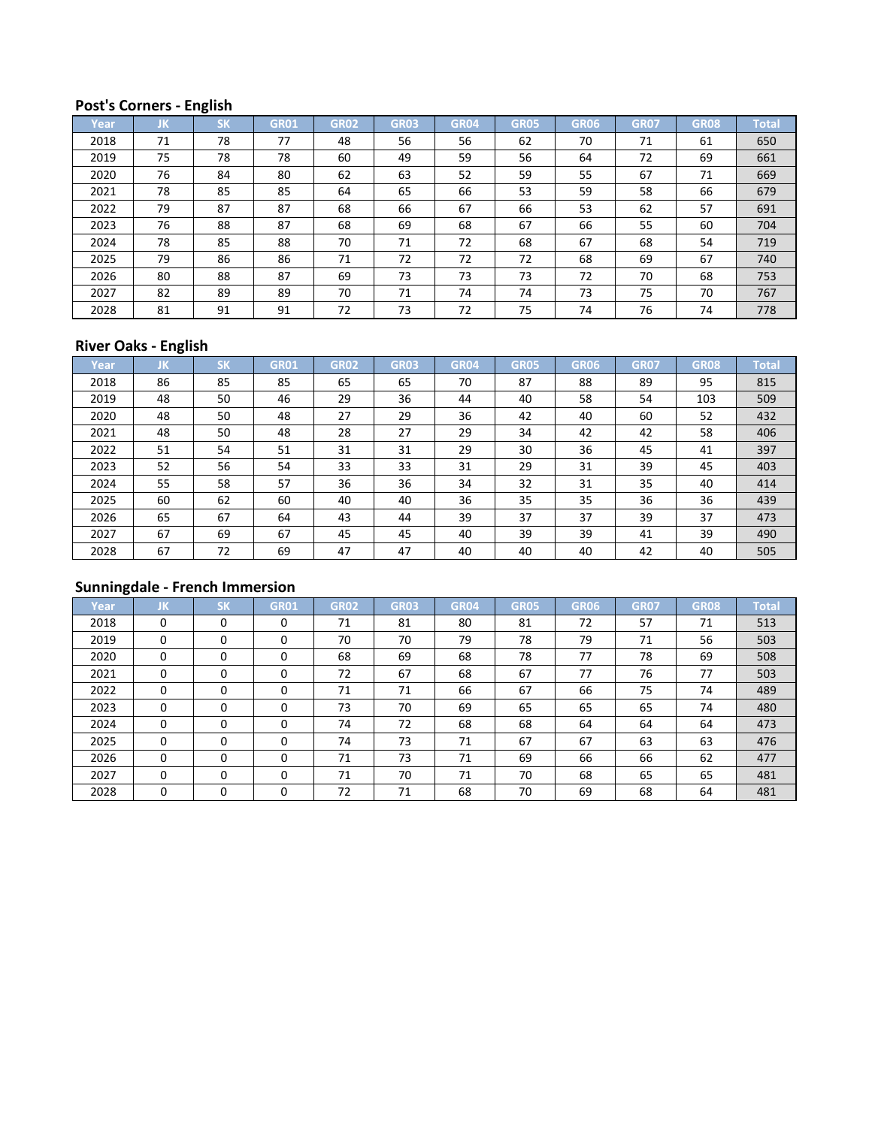## **Post's Corners - English**

| Year | JK | <b>SK</b> | <b>GR01</b> | <b>GR02</b> | <b>GR03</b> | <b>GR04</b> | <b>GR05</b> | <b>GR06</b> | <b>GR07</b> | <b>GR08</b> | <b>Total</b> |
|------|----|-----------|-------------|-------------|-------------|-------------|-------------|-------------|-------------|-------------|--------------|
| 2018 | 71 | 78        | 77          | 48          | 56          | 56          | 62          | 70          | 71          | 61          | 650          |
| 2019 | 75 | 78        | 78          | 60          | 49          | 59          | 56          | 64          | 72          | 69          | 661          |
| 2020 | 76 | 84        | 80          | 62          | 63          | 52          | 59          | 55          | 67          | 71          | 669          |
| 2021 | 78 | 85        | 85          | 64          | 65          | 66          | 53          | 59          | 58          | 66          | 679          |
| 2022 | 79 | 87        | 87          | 68          | 66          | 67          | 66          | 53          | 62          | 57          | 691          |
| 2023 | 76 | 88        | 87          | 68          | 69          | 68          | 67          | 66          | 55          | 60          | 704          |
| 2024 | 78 | 85        | 88          | 70          | 71          | 72          | 68          | 67          | 68          | 54          | 719          |
| 2025 | 79 | 86        | 86          | 71          | 72          | 72          | 72          | 68          | 69          | 67          | 740          |
| 2026 | 80 | 88        | 87          | 69          | 73          | 73          | 73          | 72          | 70          | 68          | 753          |
| 2027 | 82 | 89        | 89          | 70          | 71          | 74          | 74          | 73          | 75          | 70          | 767          |
| 2028 | 81 | 91        | 91          | 72          | 73          | 72          | 75          | 74          | 76          | 74          | 778          |

## **River Oaks - English**

| Year | IJΚ. | <b>SK</b> | <b>GR01</b> | GR02 | <b>GR03</b> | GR04 | <b>GR05</b> | GR06 | <b>GR07</b> | <b>GR08</b> | <b>Total</b> |
|------|------|-----------|-------------|------|-------------|------|-------------|------|-------------|-------------|--------------|
| 2018 | 86   | 85        | 85          | 65   | 65          | 70   | 87          | 88   | 89          | 95          | 815          |
| 2019 | 48   | 50        | 46          | 29   | 36          | 44   | 40          | 58   | 54          | 103         | 509          |
| 2020 | 48   | 50        | 48          | 27   | 29          | 36   | 42          | 40   | 60          | 52          | 432          |
| 2021 | 48   | 50        | 48          | 28   | 27          | 29   | 34          | 42   | 42          | 58          | 406          |
| 2022 | 51   | 54        | 51          | 31   | 31          | 29   | 30          | 36   | 45          | 41          | 397          |
| 2023 | 52   | 56        | 54          | 33   | 33          | 31   | 29          | 31   | 39          | 45          | 403          |
| 2024 | 55   | 58        | 57          | 36   | 36          | 34   | 32          | 31   | 35          | 40          | 414          |
| 2025 | 60   | 62        | 60          | 40   | 40          | 36   | 35          | 35   | 36          | 36          | 439          |
| 2026 | 65   | 67        | 64          | 43   | 44          | 39   | 37          | 37   | 39          | 37          | 473          |
| 2027 | 67   | 69        | 67          | 45   | 45          | 40   | 39          | 39   | 41          | 39          | 490          |
| 2028 | 67   | 72        | 69          | 47   | 47          | 40   | 40          | 40   | 42          | 40          | 505          |

| Year | JK       | <b>SK</b> | <b>GR01</b> | <b>GR02</b> | <b>GR03</b> | <b>GR04</b> | <b>GR05</b> | <b>GR06</b> | <b>GR07</b> | <b>GR08</b> | <b>Total</b> |
|------|----------|-----------|-------------|-------------|-------------|-------------|-------------|-------------|-------------|-------------|--------------|
| 2018 | $\Omega$ | $\Omega$  | $\Omega$    | 71          | 81          | 80          | 81          | 72          | 57          | 71          | 513          |
| 2019 | $\Omega$ | 0         | 0           | 70          | 70          | 79          | 78          | 79          | 71          | 56          | 503          |
| 2020 | $\Omega$ | $\Omega$  | $\Omega$    | 68          | 69          | 68          | 78          | 77          | 78          | 69          | 508          |
| 2021 | $\Omega$ | $\Omega$  | $\Omega$    | 72          | 67          | 68          | 67          | 77          | 76          | 77          | 503          |
| 2022 | $\Omega$ | $\Omega$  | $\Omega$    | 71          | 71          | 66          | 67          | 66          | 75          | 74          | 489          |
| 2023 | $\Omega$ | $\Omega$  | $\Omega$    | 73          | 70          | 69          | 65          | 65          | 65          | 74          | 480          |
| 2024 | $\Omega$ | $\Omega$  | $\Omega$    | 74          | 72          | 68          | 68          | 64          | 64          | 64          | 473          |
| 2025 | $\Omega$ | $\Omega$  | $\Omega$    | 74          | 73          | 71          | 67          | 67          | 63          | 63          | 476          |
| 2026 | $\Omega$ | $\Omega$  | 0           | 71          | 73          | 71          | 69          | 66          | 66          | 62          | 477          |
| 2027 | $\Omega$ | $\Omega$  | 0           | 71          | 70          | 71          | 70          | 68          | 65          | 65          | 481          |
| 2028 | 0        | 0         | 0           | 72          | 71          | 68          | 70          | 69          | 68          | 64          | 481          |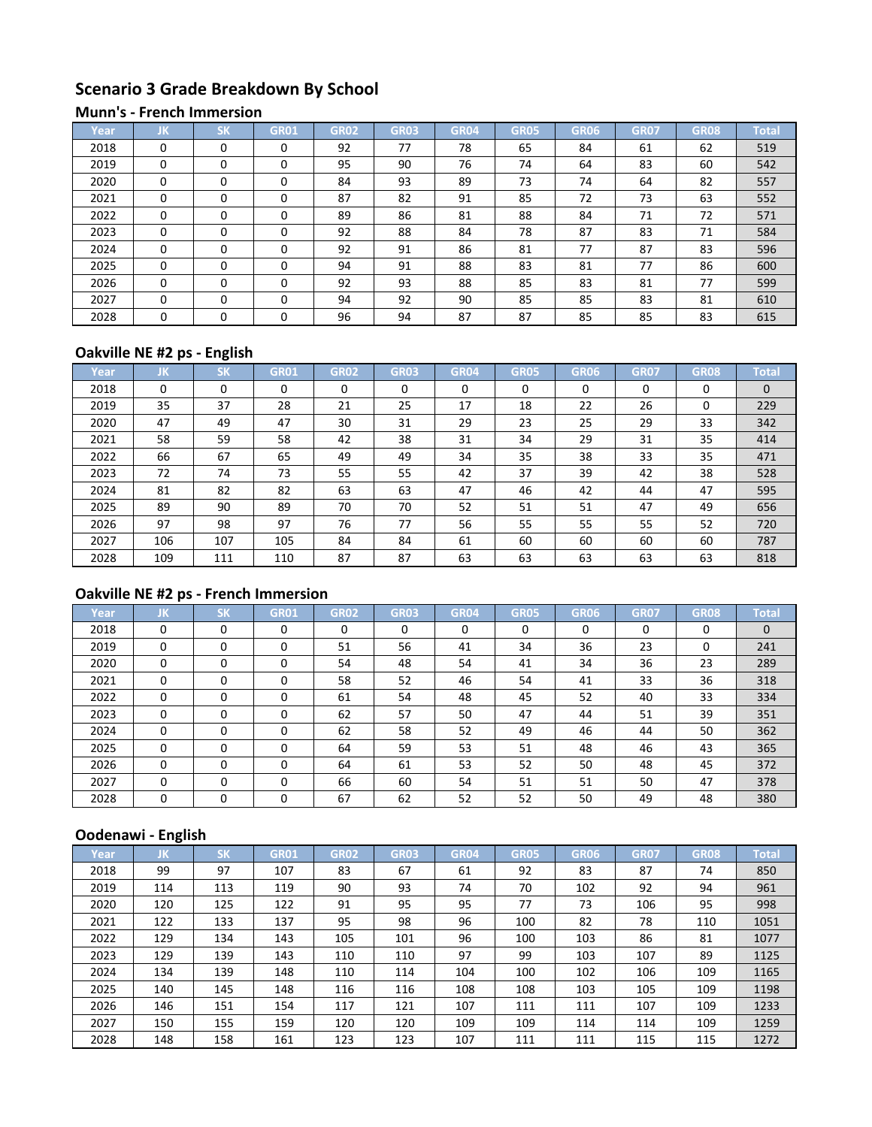# **Scenario 3 Grade Breakdown By School**

#### **Munn's - French Immersion**

| Year | JΚ       | <b>SK</b> | GR01     | <b>GR02</b> | <b>GR03</b> | <b>GR04</b> | <b>GR05</b> | GR06 | <b>GR07</b> | <b>GR08</b> | <b>Total</b> |
|------|----------|-----------|----------|-------------|-------------|-------------|-------------|------|-------------|-------------|--------------|
| 2018 | $\Omega$ | $\Omega$  | 0        | 92          | 77          | 78          | 65          | 84   | 61          | 62          | 519          |
| 2019 | $\Omega$ | $\Omega$  | 0        | 95          | 90          | 76          | 74          | 64   | 83          | 60          | 542          |
| 2020 | $\Omega$ | $\Omega$  | 0        | 84          | 93          | 89          | 73          | 74   | 64          | 82          | 557          |
| 2021 | $\Omega$ | $\Omega$  | 0        | 87          | 82          | 91          | 85          | 72   | 73          | 63          | 552          |
| 2022 | $\Omega$ | $\Omega$  | $\Omega$ | 89          | 86          | 81          | 88          | 84   | 71          | 72          | 571          |
| 2023 | $\Omega$ | $\Omega$  | 0        | 92          | 88          | 84          | 78          | 87   | 83          | 71          | 584          |
| 2024 | $\Omega$ | $\Omega$  | 0        | 92          | 91          | 86          | 81          | 77   | 87          | 83          | 596          |
| 2025 | $\Omega$ | $\Omega$  | $\Omega$ | 94          | 91          | 88          | 83          | 81   | 77          | 86          | 600          |
| 2026 | $\Omega$ | $\Omega$  | $\Omega$ | 92          | 93          | 88          | 85          | 83   | 81          | 77          | 599          |
| 2027 | $\Omega$ | $\Omega$  | 0        | 94          | 92          | 90          | 85          | 85   | 83          | 81          | 610          |
| 2028 | $\Omega$ | $\Omega$  | $\Omega$ | 96          | 94          | 87          | 87          | 85   | 85          | 83          | 615          |

# **Oakville NE #2 ps - English**

| Year | IJΚ      | <b>SK</b> | <b>GR01</b> | <b>GR02</b> | <b>GR03</b> | <b>GR04</b> | <b>GR05</b> | GR06 | <b>GR07</b> | <b>GR08</b> | <b>Total</b> |
|------|----------|-----------|-------------|-------------|-------------|-------------|-------------|------|-------------|-------------|--------------|
| 2018 | $\Omega$ | 0         |             | 0           | 0           | 0           | $\Omega$    | 0    | 0           | 0           | $\Omega$     |
| 2019 | 35       | 37        | 28          | 21          | 25          | 17          | 18          | 22   | 26          | 0           | 229          |
| 2020 | 47       | 49        | 47          | 30          | 31          | 29          | 23          | 25   | 29          | 33          | 342          |
| 2021 | 58       | 59        | 58          | 42          | 38          | 31          | 34          | 29   | 31          | 35          | 414          |
| 2022 | 66       | 67        | 65          | 49          | 49          | 34          | 35          | 38   | 33          | 35          | 471          |
| 2023 | 72       | 74        | 73          | 55          | 55          | 42          | 37          | 39   | 42          | 38          | 528          |
| 2024 | 81       | 82        | 82          | 63          | 63          | 47          | 46          | 42   | 44          | 47          | 595          |
| 2025 | 89       | 90        | 89          | 70          | 70          | 52          | 51          | 51   | 47          | 49          | 656          |
| 2026 | 97       | 98        | 97          | 76          | 77          | 56          | 55          | 55   | 55          | 52          | 720          |
| 2027 | 106      | 107       | 105         | 84          | 84          | 61          | 60          | 60   | 60          | 60          | 787          |
| 2028 | 109      | 111       | 110         | 87          | 87          | 63          | 63          | 63   | 63          | 63          | 818          |

# **Oakville NE #2 ps - French Immersion**

| Year | JK       | <b>SK</b> | <b>GR01</b> | <b>GR02</b> | <b>GR03</b> | <b>GR04</b> | <b>GR05</b> | GR06     | <b>GR07</b> | <b>GR08</b> | <b>Total</b> |
|------|----------|-----------|-------------|-------------|-------------|-------------|-------------|----------|-------------|-------------|--------------|
| 2018 | $\Omega$ | $\Omega$  | $\Omega$    | 0           | 0           | 0           | $\Omega$    | $\Omega$ | 0           | $\Omega$    | $\mathbf{0}$ |
| 2019 | 0        | 0         | 0           | 51          | 56          | 41          | 34          | 36       | 23          | 0           | 241          |
| 2020 | $\Omega$ | $\Omega$  | 0           | 54          | 48          | 54          | 41          | 34       | 36          | 23          | 289          |
| 2021 | $\Omega$ | 0         | 0           | 58          | 52          | 46          | 54          | 41       | 33          | 36          | 318          |
| 2022 | $\Omega$ | 0         | 0           | 61          | 54          | 48          | 45          | 52       | 40          | 33          | 334          |
| 2023 | $\Omega$ | $\Omega$  | $\Omega$    | 62          | 57          | 50          | 47          | 44       | 51          | 39          | 351          |
| 2024 | $\Omega$ | $\Omega$  | 0           | 62          | 58          | 52          | 49          | 46       | 44          | 50          | 362          |
| 2025 | $\Omega$ | $\Omega$  | $\Omega$    | 64          | 59          | 53          | 51          | 48       | 46          | 43          | 365          |
| 2026 | $\Omega$ | 0         | $\Omega$    | 64          | 61          | 53          | 52          | 50       | 48          | 45          | 372          |
| 2027 | $\Omega$ | $\Omega$  | 0           | 66          | 60          | 54          | 51          | 51       | 50          | 47          | 378          |
| 2028 | 0        | 0         | $\Omega$    | 67          | 62          | 52          | 52          | 50       | 49          | 48          | 380          |

| Year | JΚ  | <b>SK</b> | <b>GR01</b> | <b>GR02</b> | <b>GR03</b> | <b>GR04</b> | <b>GR05</b> | GR06 | <b>GR07</b> | <b>GR08</b> | <b>Total</b> |
|------|-----|-----------|-------------|-------------|-------------|-------------|-------------|------|-------------|-------------|--------------|
| 2018 | 99  | 97        | 107         | 83          | 67          | 61          | 92          | 83   | 87          | 74          | 850          |
| 2019 | 114 | 113       | 119         | 90          | 93          | 74          | 70          | 102  | 92          | 94          | 961          |
| 2020 | 120 | 125       | 122         | 91          | 95          | 95          | 77          | 73   | 106         | 95          | 998          |
| 2021 | 122 | 133       | 137         | 95          | 98          | 96          | 100         | 82   | 78          | 110         | 1051         |
| 2022 | 129 | 134       | 143         | 105         | 101         | 96          | 100         | 103  | 86          | 81          | 1077         |
| 2023 | 129 | 139       | 143         | 110         | 110         | 97          | 99          | 103  | 107         | 89          | 1125         |
| 2024 | 134 | 139       | 148         | 110         | 114         | 104         | 100         | 102  | 106         | 109         | 1165         |
| 2025 | 140 | 145       | 148         | 116         | 116         | 108         | 108         | 103  | 105         | 109         | 1198         |
| 2026 | 146 | 151       | 154         | 117         | 121         | 107         | 111         | 111  | 107         | 109         | 1233         |
| 2027 | 150 | 155       | 159         | 120         | 120         | 109         | 109         | 114  | 114         | 109         | 1259         |
| 2028 | 148 | 158       | 161         | 123         | 123         | 107         | 111         | 111  | 115         | 115         | 1272         |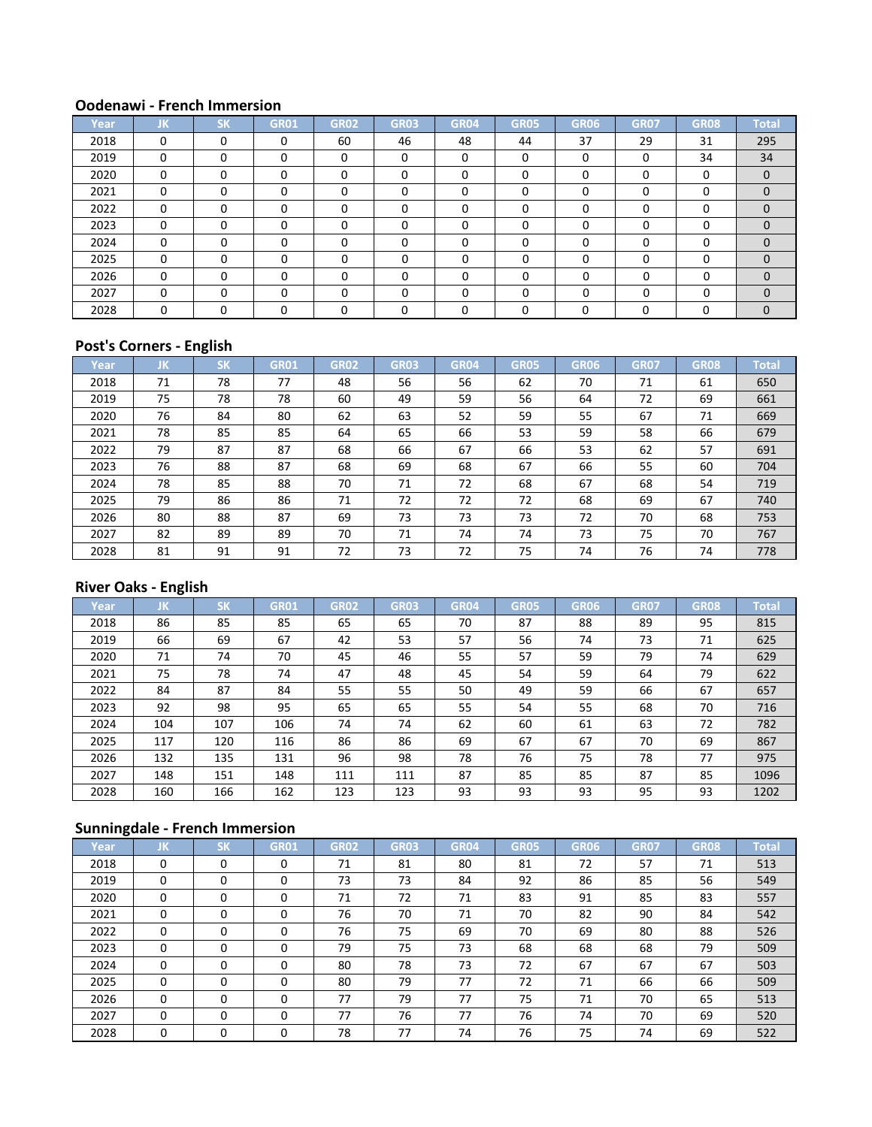| Year, | JK.      | <b>SK</b> | <b>GR01</b> | <b>GR02</b> | <b>GR03</b> | <b>GR04</b> | <b>GR05</b> | GR06     | <b>GR07</b> | <b>GR08</b> | <b>Total</b> |
|-------|----------|-----------|-------------|-------------|-------------|-------------|-------------|----------|-------------|-------------|--------------|
| 2018  | 0        | $\Omega$  |             | 60          | 46          | 48          | 44          | 37       | 29          | 31          | 295          |
| 2019  | 0        | $\Omega$  | $\Omega$    | 0           | $\Omega$    | $\Omega$    | $\Omega$    | $\Omega$ | 0           | 34          | 34           |
| 2020  | $\Omega$ | $\Omega$  | $\Omega$    | 0           | $\Omega$    | $\Omega$    | $\Omega$    |          | 0           | $\Omega$    | $\mathbf 0$  |
| 2021  | $\Omega$ | $\Omega$  |             | $\Omega$    | $\Omega$    | 0           | $\Omega$    |          | 0           | $\Omega$    | $\Omega$     |
| 2022  | $\Omega$ | 0         | 0           | 0           | $\Omega$    | $\Omega$    | $\Omega$    | ∩        | 0           | $\Omega$    | $\mathbf 0$  |
| 2023  | $\Omega$ | $\Omega$  | $\Omega$    | 0           | $\Omega$    | $\Omega$    | $\Omega$    |          | 0           | $\Omega$    | $\Omega$     |
| 2024  | $\Omega$ | $\Omega$  | $\Omega$    | 0           | $\Omega$    | $\Omega$    | $\Omega$    |          | O           | 0           | $\mathbf 0$  |
| 2025  | 0        | $\Omega$  | 0           | 0           | $\Omega$    | $\Omega$    | $\Omega$    |          | $\Omega$    | $\Omega$    | $\Omega$     |
| 2026  | $\Omega$ | $\Omega$  | 0           | U           | ŋ           | $\Omega$    | $\Omega$    |          | U           | $\Omega$    | $\Omega$     |
| 2027  | $\Omega$ | $\Omega$  | $\Omega$    | 0           | ŋ           | $\Omega$    | $\Omega$    |          | $\Omega$    | $\Omega$    | $\Omega$     |
| 2028  | $\Omega$ | O         |             |             |             | ∩           | U           |          | U           | U           | $\Omega$     |

## **Post's Corners - English**

| Year | JΚ. | <b>SK</b> | <b>GR01</b> | GR02 | <b>GR03</b> | GR04 | <b>GR05</b> | GR06 | <b>GR07</b> | <b>GR08</b> | <b>Total</b> |
|------|-----|-----------|-------------|------|-------------|------|-------------|------|-------------|-------------|--------------|
| 2018 | 71  | 78        | 77          | 48   | 56          | 56   | 62          | 70   | 71          | 61          | 650          |
| 2019 | 75  | 78        | 78          | 60   | 49          | 59   | 56          | 64   | 72          | 69          | 661          |
| 2020 | 76  | 84        | 80          | 62   | 63          | 52   | 59          | 55   | 67          | 71          | 669          |
| 2021 | 78  | 85        | 85          | 64   | 65          | 66   | 53          | 59   | 58          | 66          | 679          |
| 2022 | 79  | 87        | 87          | 68   | 66          | 67   | 66          | 53   | 62          | 57          | 691          |
| 2023 | 76  | 88        | 87          | 68   | 69          | 68   | 67          | 66   | 55          | 60          | 704          |
| 2024 | 78  | 85        | 88          | 70   | 71          | 72   | 68          | 67   | 68          | 54          | 719          |
| 2025 | 79  | 86        | 86          | 71   | 72          | 72   | 72          | 68   | 69          | 67          | 740          |
| 2026 | 80  | 88        | 87          | 69   | 73          | 73   | 73          | 72   | 70          | 68          | 753          |
| 2027 | 82  | 89        | 89          | 70   | 71          | 74   | 74          | 73   | 75          | 70          | 767          |
| 2028 | 81  | 91        | 91          | 72   | 73          | 72   | 75          | 74   | 76          | 74          | 778          |

## **River Oaks - English**

| Year | JΚ. | <b>SK</b> | <b>GR01</b> | <b>GR02</b> | <b>GR03</b> | <b>GR04</b> | <b>GR05</b> | <b>GR06</b> | <b>GR07</b> | GR <sub>08</sub> | <b>Total</b> |
|------|-----|-----------|-------------|-------------|-------------|-------------|-------------|-------------|-------------|------------------|--------------|
| 2018 | 86  | 85        | 85          | 65          | 65          | 70          | 87          | 88          | 89          | 95               | 815          |
| 2019 | 66  | 69        | 67          | 42          | 53          | 57          | 56          | 74          | 73          | 71               | 625          |
| 2020 | 71  | 74        | 70          | 45          | 46          | 55          | 57          | 59          | 79          | 74               | 629          |
| 2021 | 75  | 78        | 74          | 47          | 48          | 45          | 54          | 59          | 64          | 79               | 622          |
| 2022 | 84  | 87        | 84          | 55          | 55          | 50          | 49          | 59          | 66          | 67               | 657          |
| 2023 | 92  | 98        | 95          | 65          | 65          | 55          | 54          | 55          | 68          | 70               | 716          |
| 2024 | 104 | 107       | 106         | 74          | 74          | 62          | 60          | 61          | 63          | 72               | 782          |
| 2025 | 117 | 120       | 116         | 86          | 86          | 69          | 67          | 67          | 70          | 69               | 867          |
| 2026 | 132 | 135       | 131         | 96          | 98          | 78          | 76          | 75          | 78          | 77               | 975          |
| 2027 | 148 | 151       | 148         | 111         | 111         | 87          | 85          | 85          | 87          | 85               | 1096         |
| 2028 | 160 | 166       | 162         | 123         | 123         | 93          | 93          | 93          | 95          | 93               | 1202         |

| Year/ | JΚ       | <b>SK</b> | <b>GR01</b> | <b>GR02</b> | <b>GR03</b> | <b>GR04</b> | <b>GR05</b> | GR06 | <b>GR07</b> | <b>GR08</b> | <b>Total</b> |
|-------|----------|-----------|-------------|-------------|-------------|-------------|-------------|------|-------------|-------------|--------------|
| 2018  | $\Omega$ | $\Omega$  | 0           | 71          | 81          | 80          | 81          | 72   | 57          | 71          | 513          |
| 2019  | 0        | 0         | 0           | 73          | 73          | 84          | 92          | 86   | 85          | 56          | 549          |
| 2020  | 0        | 0         | 0           | 71          | 72          | 71          | 83          | 91   | 85          | 83          | 557          |
| 2021  | 0        | $\Omega$  | $\Omega$    | 76          | 70          | 71          | 70          | 82   | 90          | 84          | 542          |
| 2022  | $\Omega$ | 0         | 0           | 76          | 75          | 69          | 70          | 69   | 80          | 88          | 526          |
| 2023  | $\Omega$ | $\Omega$  | 0           | 79          | 75          | 73          | 68          | 68   | 68          | 79          | 509          |
| 2024  | $\Omega$ | $\Omega$  | 0           | 80          | 78          | 73          | 72          | 67   | 67          | 67          | 503          |
| 2025  | $\Omega$ | $\Omega$  | $\Omega$    | 80          | 79          | 77          | 72          | 71   | 66          | 66          | 509          |
| 2026  | $\Omega$ | $\Omega$  | $\Omega$    | 77          | 79          | 77          | 75          | 71   | 70          | 65          | 513          |
| 2027  | $\Omega$ | $\Omega$  | $\Omega$    | 77          | 76          | 77          | 76          | 74   | 70          | 69          | 520          |
| 2028  | 0        | 0         |             | 78          | 77          | 74          | 76          | 75   | 74          | 69          | 522          |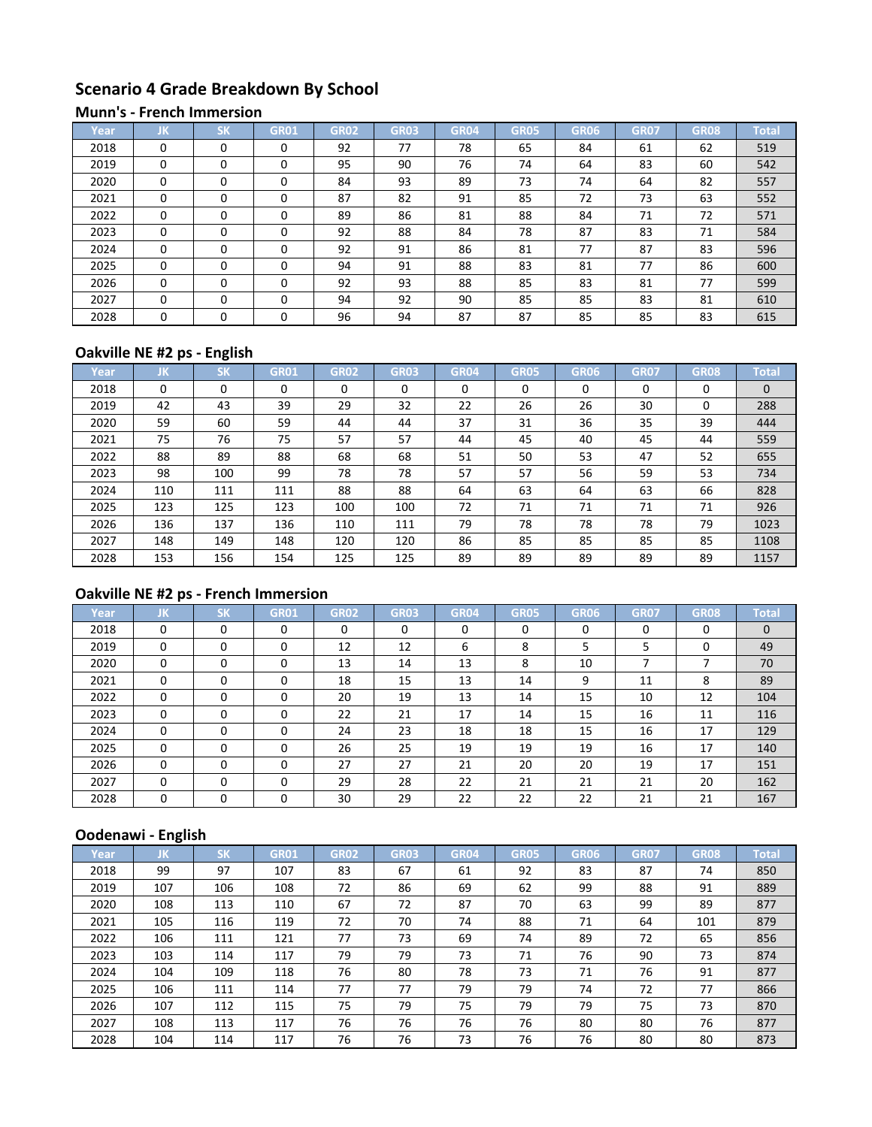# **Scenario 4 Grade Breakdown By School**

#### **Munn's - French Immersion**

| Year | JK       | $c\nu$<br>ы | GR01     | <b>GR02</b> | <b>GR03</b> | <b>GR04</b> | <b>GR05</b> | GR06 | <b>GR07</b> | GR08 | <b>Total</b> |
|------|----------|-------------|----------|-------------|-------------|-------------|-------------|------|-------------|------|--------------|
| 2018 | $\Omega$ | $\Omega$    | 0        | 92          | 77          | 78          | 65          | 84   | 61          | 62   | 519          |
| 2019 | $\Omega$ | $\Omega$    | 0        | 95          | 90          | 76          | 74          | 64   | 83          | 60   | 542          |
| 2020 | $\Omega$ | $\Omega$    | 0        | 84          | 93          | 89          | 73          | 74   | 64          | 82   | 557          |
| 2021 | $\Omega$ | $\Omega$    | 0        | 87          | 82          | 91          | 85          | 72   | 73          | 63   | 552          |
| 2022 | $\Omega$ | $\Omega$    | $\Omega$ | 89          | 86          | 81          | 88          | 84   | 71          | 72   | 571          |
| 2023 | $\Omega$ | $\Omega$    | 0        | 92          | 88          | 84          | 78          | 87   | 83          | 71   | 584          |
| 2024 | $\Omega$ | $\Omega$    | 0        | 92          | 91          | 86          | 81          | 77   | 87          | 83   | 596          |
| 2025 | $\Omega$ | $\Omega$    | 0        | 94          | 91          | 88          | 83          | 81   | 77          | 86   | 600          |
| 2026 | $\Omega$ | $\Omega$    | $\Omega$ | 92          | 93          | 88          | 85          | 83   | 81          | 77   | 599          |
| 2027 | $\Omega$ | $\Omega$    | $\Omega$ | 94          | 92          | 90          | 85          | 85   | 83          | 81   | 610          |
| 2028 | $\Omega$ | $\Omega$    | 0        | 96          | 94          | 87          | 87          | 85   | 85          | 83   | 615          |

## **Oakville NE #2 ps - English**

| Year | IJΚ      | <b>SK</b> | <b>GR01</b> | <b>GR02</b> | <b>GR03</b> | <b>GR04</b> | <b>GR05</b> | GR06 | <b>GR07</b> | <b>GR08</b> | <b>Total</b> |
|------|----------|-----------|-------------|-------------|-------------|-------------|-------------|------|-------------|-------------|--------------|
| 2018 | $\Omega$ | 0         |             | 0           | 0           | 0           | $\Omega$    | 0    | 0           | 0           | $\Omega$     |
| 2019 | 42       | 43        | 39          | 29          | 32          | 22          | 26          | 26   | 30          | 0           | 288          |
| 2020 | 59       | 60        | 59          | 44          | 44          | 37          | 31          | 36   | 35          | 39          | 444          |
| 2021 | 75       | 76        | 75          | 57          | 57          | 44          | 45          | 40   | 45          | 44          | 559          |
| 2022 | 88       | 89        | 88          | 68          | 68          | 51          | 50          | 53   | 47          | 52          | 655          |
| 2023 | 98       | 100       | 99          | 78          | 78          | 57          | 57          | 56   | 59          | 53          | 734          |
| 2024 | 110      | 111       | 111         | 88          | 88          | 64          | 63          | 64   | 63          | 66          | 828          |
| 2025 | 123      | 125       | 123         | 100         | 100         | 72          | 71          | 71   | 71          | 71          | 926          |
| 2026 | 136      | 137       | 136         | 110         | 111         | 79          | 78          | 78   | 78          | 79          | 1023         |
| 2027 | 148      | 149       | 148         | 120         | 120         | 86          | 85          | 85   | 85          | 85          | 1108         |
| 2028 | 153      | 156       | 154         | 125         | 125         | 89          | 89          | 89   | 89          | 89          | 1157         |

# **Oakville NE #2 ps - French Immersion**

| Year | JK       | <b>SK</b> | <b>GR01</b> | GR02 | <b>GR03</b> | <b>GR04</b> | <b>GR05</b> | GR06 | <b>GR07</b> | <b>GR08</b> | <b>Total</b> |
|------|----------|-----------|-------------|------|-------------|-------------|-------------|------|-------------|-------------|--------------|
| 2018 | 0        | $\Omega$  | $\Omega$    | 0    | $\Omega$    | $\Omega$    | $\Omega$    | 0    | $\Omega$    | $\Omega$    | $\mathbf{0}$ |
| 2019 | 0        | 0         | 0           | 12   | 12          | 6           | 8           | 5    | 5           | 0           | 49           |
| 2020 | $\Omega$ | $\Omega$  | $\Omega$    | 13   | 14          | 13          | 8           | 10   |             |             | 70           |
| 2021 | $\Omega$ | 0         | $\Omega$    | 18   | 15          | 13          | 14          | 9    | 11          | 8           | 89           |
| 2022 | $\Omega$ | $\Omega$  | $\Omega$    | 20   | 19          | 13          | 14          | 15   | 10          | 12          | 104          |
| 2023 | $\Omega$ | $\Omega$  | $\Omega$    | 22   | 21          | 17          | 14          | 15   | 16          | 11          | 116          |
| 2024 | $\Omega$ | $\Omega$  | $\Omega$    | 24   | 23          | 18          | 18          | 15   | 16          | 17          | 129          |
| 2025 | $\Omega$ | $\Omega$  | $\Omega$    | 26   | 25          | 19          | 19          | 19   | 16          | 17          | 140          |
| 2026 | 0        | 0         | $\Omega$    | 27   | 27          | 21          | 20          | 20   | 19          | 17          | 151          |
| 2027 | $\Omega$ | $\Omega$  | 0           | 29   | 28          | 22          | 21          | 21   | 21          | 20          | 162          |
| 2028 | 0        | 0         | $\Omega$    | 30   | 29          | 22          | 22          | 22   | 21          | 21          | 167          |

| Year | JΚ  | <b>SK</b> | <b>GR01</b> | <b>GR02</b> | <b>GR03</b> | <b>GR04</b> | <b>GR05</b> | GR06 | <b>GR07</b> | <b>GR08</b> | <b>Total</b> |
|------|-----|-----------|-------------|-------------|-------------|-------------|-------------|------|-------------|-------------|--------------|
| 2018 | 99  | 97        | 107         | 83          | 67          | 61          | 92          | 83   | 87          | 74          | 850          |
| 2019 | 107 | 106       | 108         | 72          | 86          | 69          | 62          | 99   | 88          | 91          | 889          |
| 2020 | 108 | 113       | 110         | 67          | 72          | 87          | 70          | 63   | 99          | 89          | 877          |
| 2021 | 105 | 116       | 119         | 72          | 70          | 74          | 88          | 71   | 64          | 101         | 879          |
| 2022 | 106 | 111       | 121         | 77          | 73          | 69          | 74          | 89   | 72          | 65          | 856          |
| 2023 | 103 | 114       | 117         | 79          | 79          | 73          | 71          | 76   | 90          | 73          | 874          |
| 2024 | 104 | 109       | 118         | 76          | 80          | 78          | 73          | 71   | 76          | 91          | 877          |
| 2025 | 106 | 111       | 114         | 77          | 77          | 79          | 79          | 74   | 72          | 77          | 866          |
| 2026 | 107 | 112       | 115         | 75          | 79          | 75          | 79          | 79   | 75          | 73          | 870          |
| 2027 | 108 | 113       | 117         | 76          | 76          | 76          | 76          | 80   | 80          | 76          | 877          |
| 2028 | 104 | 114       | 117         | 76          | 76          | 73          | 76          | 76   | 80          | 80          | 873          |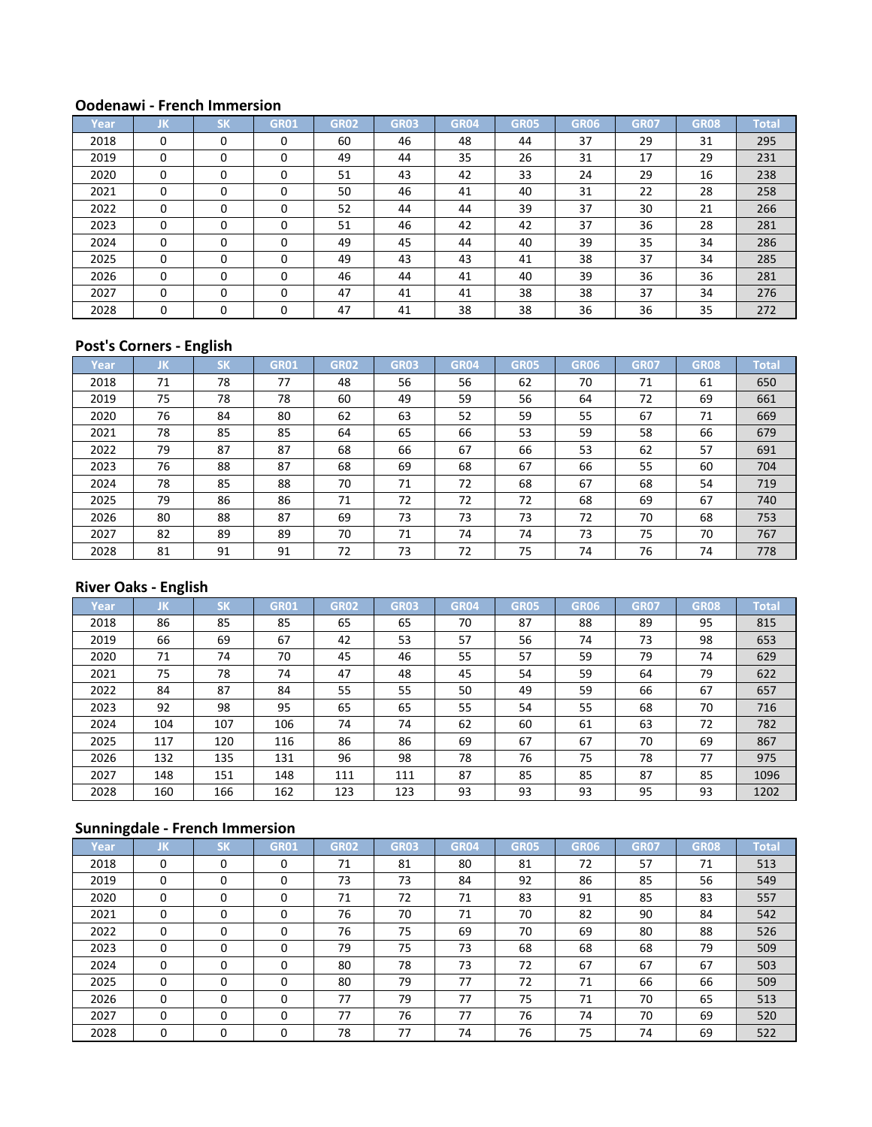| Year | JK       | <b>SK</b> | <b>GR01</b> | <b>GR02</b> | <b>GR03</b> | <b>GR04</b> | <b>GR05</b> | <b>GR06</b> | <b>GR07</b> | <b>GR08</b> | <b>Total</b> |
|------|----------|-----------|-------------|-------------|-------------|-------------|-------------|-------------|-------------|-------------|--------------|
| 2018 | $\Omega$ | $\Omega$  | 0           | 60          | 46          | 48          | 44          | 37          | 29          | 31          | 295          |
| 2019 | $\Omega$ | $\Omega$  | $\Omega$    | 49          | 44          | 35          | 26          | 31          | 17          | 29          | 231          |
| 2020 | $\Omega$ | $\Omega$  | $\Omega$    | 51          | 43          | 42          | 33          | 24          | 29          | 16          | 238          |
| 2021 | $\Omega$ | $\Omega$  | $\Omega$    | 50          | 46          | 41          | 40          | 31          | 22          | 28          | 258          |
| 2022 | $\Omega$ | $\Omega$  | $\Omega$    | 52          | 44          | 44          | 39          | 37          | 30          | 21          | 266          |
| 2023 | $\Omega$ | $\Omega$  |             | 51          | 46          | 42          | 42          | 37          | 36          | 28          | 281          |
| 2024 | $\Omega$ | $\Omega$  |             | 49          | 45          | 44          | 40          | 39          | 35          | 34          | 286          |
| 2025 | $\Omega$ | $\Omega$  |             | 49          | 43          | 43          | 41          | 38          | 37          | 34          | 285          |
| 2026 | $\Omega$ | $\Omega$  | $\Omega$    | 46          | 44          | 41          | 40          | 39          | 36          | 36          | 281          |
| 2027 | $\Omega$ | $\Omega$  | $\Omega$    | 47          | 41          | 41          | 38          | 38          | 37          | 34          | 276          |
| 2028 | $\Omega$ | $\Omega$  | $\Omega$    | 47          | 41          | 38          | 38          | 36          | 36          | 35          | 272          |

## **Post's Corners - English**

| Year | JK | <b>SK</b> | <b>GR01</b> | GR02 | <b>GR03</b> | GR04 | <b>GR05</b> | GR06 | <b>GR07</b> | <b>GR08</b> | <b>Total</b> |
|------|----|-----------|-------------|------|-------------|------|-------------|------|-------------|-------------|--------------|
| 2018 | 71 | 78        | 77          | 48   | 56          | 56   | 62          | 70   | 71          | 61          | 650          |
| 2019 | 75 | 78        | 78          | 60   | 49          | 59   | 56          | 64   | 72          | 69          | 661          |
| 2020 | 76 | 84        | 80          | 62   | 63          | 52   | 59          | 55   | 67          | 71          | 669          |
| 2021 | 78 | 85        | 85          | 64   | 65          | 66   | 53          | 59   | 58          | 66          | 679          |
| 2022 | 79 | 87        | 87          | 68   | 66          | 67   | 66          | 53   | 62          | 57          | 691          |
| 2023 | 76 | 88        | 87          | 68   | 69          | 68   | 67          | 66   | 55          | 60          | 704          |
| 2024 | 78 | 85        | 88          | 70   | 71          | 72   | 68          | 67   | 68          | 54          | 719          |
| 2025 | 79 | 86        | 86          | 71   | 72          | 72   | 72          | 68   | 69          | 67          | 740          |
| 2026 | 80 | 88        | 87          | 69   | 73          | 73   | 73          | 72   | 70          | 68          | 753          |
| 2027 | 82 | 89        | 89          | 70   | 71          | 74   | 74          | 73   | 75          | 70          | 767          |
| 2028 | 81 | 91        | 91          | 72   | 73          | 72   | 75          | 74   | 76          | 74          | 778          |

## **River Oaks - English**

| Year | JΚ. | <b>SK</b> | <b>GR01</b> | <b>GR02</b> | <b>GR03</b> | <b>GR04</b> | <b>GR05</b> | <b>GR06</b> | <b>GR07</b> | GR <sub>08</sub> | <b>Total</b> |
|------|-----|-----------|-------------|-------------|-------------|-------------|-------------|-------------|-------------|------------------|--------------|
| 2018 | 86  | 85        | 85          | 65          | 65          | 70          | 87          | 88          | 89          | 95               | 815          |
| 2019 | 66  | 69        | 67          | 42          | 53          | 57          | 56          | 74          | 73          | 98               | 653          |
| 2020 | 71  | 74        | 70          | 45          | 46          | 55          | 57          | 59          | 79          | 74               | 629          |
| 2021 | 75  | 78        | 74          | 47          | 48          | 45          | 54          | 59          | 64          | 79               | 622          |
| 2022 | 84  | 87        | 84          | 55          | 55          | 50          | 49          | 59          | 66          | 67               | 657          |
| 2023 | 92  | 98        | 95          | 65          | 65          | 55          | 54          | 55          | 68          | 70               | 716          |
| 2024 | 104 | 107       | 106         | 74          | 74          | 62          | 60          | 61          | 63          | 72               | 782          |
| 2025 | 117 | 120       | 116         | 86          | 86          | 69          | 67          | 67          | 70          | 69               | 867          |
| 2026 | 132 | 135       | 131         | 96          | 98          | 78          | 76          | 75          | 78          | 77               | 975          |
| 2027 | 148 | 151       | 148         | 111         | 111         | 87          | 85          | 85          | 87          | 85               | 1096         |
| 2028 | 160 | 166       | 162         | 123         | 123         | 93          | 93          | 93          | 95          | 93               | 1202         |

| Year | JΚ.      | <b>SK</b> | <b>GR01</b> | <b>GR02</b> | <b>GR03</b> | <b>GR04</b> | <b>GR05</b> | GR06 | <b>GR07</b> | <b>GR08</b> | <b>Total</b> |
|------|----------|-----------|-------------|-------------|-------------|-------------|-------------|------|-------------|-------------|--------------|
| 2018 | 0        | 0         | $\Omega$    | 71          | 81          | 80          | 81          | 72   | 57          | 71          | 513          |
| 2019 | $\Omega$ | $\Omega$  | 0           | 73          | 73          | 84          | 92          | 86   | 85          | 56          | 549          |
| 2020 | $\Omega$ | $\Omega$  | $\Omega$    | 71          | 72          | 71          | 83          | 91   | 85          | 83          | 557          |
| 2021 | $\Omega$ | $\Omega$  |             | 76          | 70          | 71          | 70          | 82   | 90          | 84          | 542          |
| 2022 | $\Omega$ | $\Omega$  |             | 76          | 75          | 69          | 70          | 69   | 80          | 88          | 526          |
| 2023 | 0        | $\Omega$  | 0           | 79          | 75          | 73          | 68          | 68   | 68          | 79          | 509          |
| 2024 | $\Omega$ | $\Omega$  | 0           | 80          | 78          | 73          | 72          | 67   | 67          | 67          | 503          |
| 2025 | $\Omega$ | $\Omega$  | $\Omega$    | 80          | 79          | 77          | 72          | 71   | 66          | 66          | 509          |
| 2026 | $\Omega$ | $\Omega$  | $\Omega$    | 77          | 79          | 77          | 75          | 71   | 70          | 65          | 513          |
| 2027 | $\Omega$ | $\Omega$  | $\Omega$    | 77          | 76          | 77          | 76          | 74   | 70          | 69          | 520          |
| 2028 | 0        | 0         |             | 78          | 77          | 74          | 76          | 75   | 74          | 69          | 522          |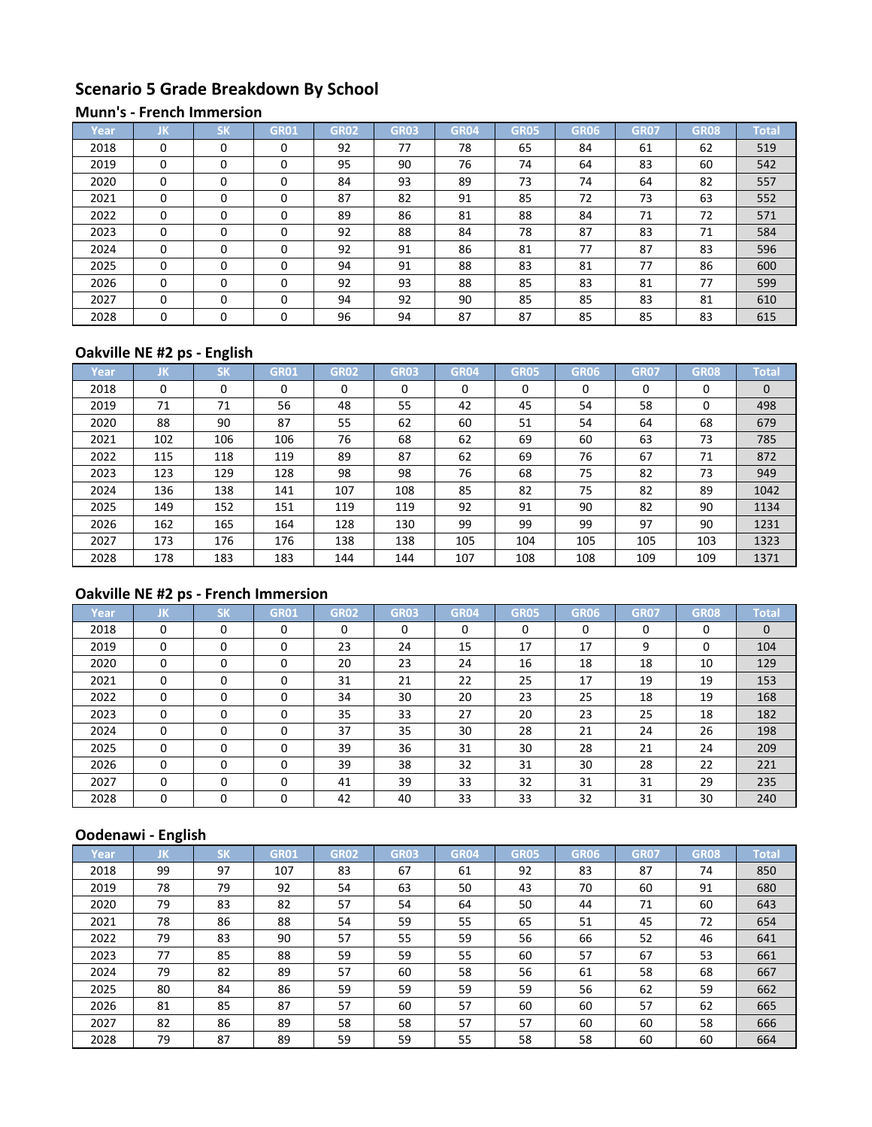# **Scenario 5 Grade Breakdown By School**

#### **Munn's - French Immersion**

| Year | JK       | CM       | GR01     | <b>GR02</b> | <b>GR03</b> | GR <sub>04</sub> | <b>GR05</b> | GR06 | <b>GR07</b> | <b>GR08</b> | <b>Total</b> |
|------|----------|----------|----------|-------------|-------------|------------------|-------------|------|-------------|-------------|--------------|
| 2018 | $\Omega$ | $\Omega$ | 0        | 92          | 77          | 78               | 65          | 84   | 61          | 62          | 519          |
| 2019 | $\Omega$ | $\Omega$ | 0        | 95          | 90          | 76               | 74          | 64   | 83          | 60          | 542          |
| 2020 | $\Omega$ | 0        | 0        | 84          | 93          | 89               | 73          | 74   | 64          | 82          | 557          |
| 2021 | $\Omega$ | $\Omega$ | 0        | 87          | 82          | 91               | 85          | 72   | 73          | 63          | 552          |
| 2022 | $\Omega$ | $\Omega$ | $\Omega$ | 89          | 86          | 81               | 88          | 84   | 71          | 72          | 571          |
| 2023 | $\Omega$ | $\Omega$ | 0        | 92          | 88          | 84               | 78          | 87   | 83          | 71          | 584          |
| 2024 | $\Omega$ | $\Omega$ | 0        | 92          | 91          | 86               | 81          | 77   | 87          | 83          | 596          |
| 2025 | $\Omega$ | $\Omega$ | 0        | 94          | 91          | 88               | 83          | 81   | 77          | 86          | 600          |
| 2026 | $\Omega$ | $\Omega$ | 0        | 92          | 93          | 88               | 85          | 83   | 81          | 77          | 599          |
| 2027 | $\Omega$ | $\Omega$ | 0        | 94          | 92          | 90               | 85          | 85   | 83          | 81          | 610          |
| 2028 | $\Omega$ | $\Omega$ | 0        | 96          | 94          | 87               | 87          | 85   | 85          | 83          | 615          |

# **Oakville NE #2 ps - English**

| Year | IJΚ      | <b>SK</b> | <b>GR01</b> | <b>GR02</b> | <b>GR03</b> | <b>GR04</b> | <b>GR05</b> | GR06 | <b>GR07</b> | <b>GR08</b> | <b>Total</b> |
|------|----------|-----------|-------------|-------------|-------------|-------------|-------------|------|-------------|-------------|--------------|
| 2018 | $\Omega$ | 0         |             | 0           | 0           | 0           | $\Omega$    | 0    | 0           | 0           | $\mathbf{0}$ |
| 2019 | 71       | 71        | 56          | 48          | 55          | 42          | 45          | 54   | 58          | 0           | 498          |
| 2020 | 88       | 90        | 87          | 55          | 62          | 60          | 51          | 54   | 64          | 68          | 679          |
| 2021 | 102      | 106       | 106         | 76          | 68          | 62          | 69          | 60   | 63          | 73          | 785          |
| 2022 | 115      | 118       | 119         | 89          | 87          | 62          | 69          | 76   | 67          | 71          | 872          |
| 2023 | 123      | 129       | 128         | 98          | 98          | 76          | 68          | 75   | 82          | 73          | 949          |
| 2024 | 136      | 138       | 141         | 107         | 108         | 85          | 82          | 75   | 82          | 89          | 1042         |
| 2025 | 149      | 152       | 151         | 119         | 119         | 92          | 91          | 90   | 82          | 90          | 1134         |
| 2026 | 162      | 165       | 164         | 128         | 130         | 99          | 99          | 99   | 97          | 90          | 1231         |
| 2027 | 173      | 176       | 176         | 138         | 138         | 105         | 104         | 105  | 105         | 103         | 1323         |
| 2028 | 178      | 183       | 183         | 144         | 144         | 107         | 108         | 108  | 109         | 109         | 1371         |

# **Oakville NE #2 ps - French Immersion**

| Year | JK       | <b>SK</b> | <b>GR01</b> | GR02 | <b>GR03</b> | <b>GR04</b> | <b>GR05</b> | GR06 | <b>GR07</b> | <b>GR08</b> | <b>Total</b> |
|------|----------|-----------|-------------|------|-------------|-------------|-------------|------|-------------|-------------|--------------|
| 2018 | 0        | $\Omega$  | $\Omega$    | 0    | $\Omega$    | $\Omega$    | $\Omega$    | 0    | $\Omega$    | $\Omega$    | $\mathbf{0}$ |
| 2019 | 0        | 0         | 0           | 23   | 24          | 15          | 17          | 17   | 9           | 0           | 104          |
| 2020 | 0        | $\Omega$  | $\Omega$    | 20   | 23          | 24          | 16          | 18   | 18          | 10          | 129          |
| 2021 | $\Omega$ | 0         | $\Omega$    | 31   | 21          | 22          | 25          | 17   | 19          | 19          | 153          |
| 2022 | 0        | 0         | O           | 34   | 30          | 20          | 23          | 25   | 18          | 19          | 168          |
| 2023 | $\Omega$ | $\Omega$  | 0           | 35   | 33          | 27          | 20          | 23   | 25          | 18          | 182          |
| 2024 | $\Omega$ | $\Omega$  | $\Omega$    | 37   | 35          | 30          | 28          | 21   | 24          | 26          | 198          |
| 2025 | $\Omega$ | $\Omega$  | $\Omega$    | 39   | 36          | 31          | 30          | 28   | 21          | 24          | 209          |
| 2026 | 0        | 0         | $\Omega$    | 39   | 38          | 32          | 31          | 30   | 28          | 22          | 221          |
| 2027 | $\Omega$ | $\Omega$  | 0           | 41   | 39          | 33          | 32          | 31   | 31          | 29          | 235          |
| 2028 | 0        | 0         | $\Omega$    | 42   | 40          | 33          | 33          | 32   | 31          | 30          | 240          |

| Year | JΚ | <b>SK</b> | <b>GR01</b> | <b>GR02</b> | <b>GR03</b> | <b>GR04</b> | <b>GR05</b> | GR06 | <b>GR07</b> | <b>GR08</b> | <b>Total</b> |
|------|----|-----------|-------------|-------------|-------------|-------------|-------------|------|-------------|-------------|--------------|
| 2018 | 99 | 97        | 107         | 83          | 67          | 61          | 92          | 83   | 87          | 74          | 850          |
| 2019 | 78 | 79        | 92          | 54          | 63          | 50          | 43          | 70   | 60          | 91          | 680          |
| 2020 | 79 | 83        | 82          | 57          | 54          | 64          | 50          | 44   | 71          | 60          | 643          |
| 2021 | 78 | 86        | 88          | 54          | 59          | 55          | 65          | 51   | 45          | 72          | 654          |
| 2022 | 79 | 83        | 90          | 57          | 55          | 59          | 56          | 66   | 52          | 46          | 641          |
| 2023 | 77 | 85        | 88          | 59          | 59          | 55          | 60          | 57   | 67          | 53          | 661          |
| 2024 | 79 | 82        | 89          | 57          | 60          | 58          | 56          | 61   | 58          | 68          | 667          |
| 2025 | 80 | 84        | 86          | 59          | 59          | 59          | 59          | 56   | 62          | 59          | 662          |
| 2026 | 81 | 85        | 87          | 57          | 60          | 57          | 60          | 60   | 57          | 62          | 665          |
| 2027 | 82 | 86        | 89          | 58          | 58          | 57          | 57          | 60   | 60          | 58          | 666          |
| 2028 | 79 | 87        | 89          | 59          | 59          | 55          | 58          | 58   | 60          | 60          | 664          |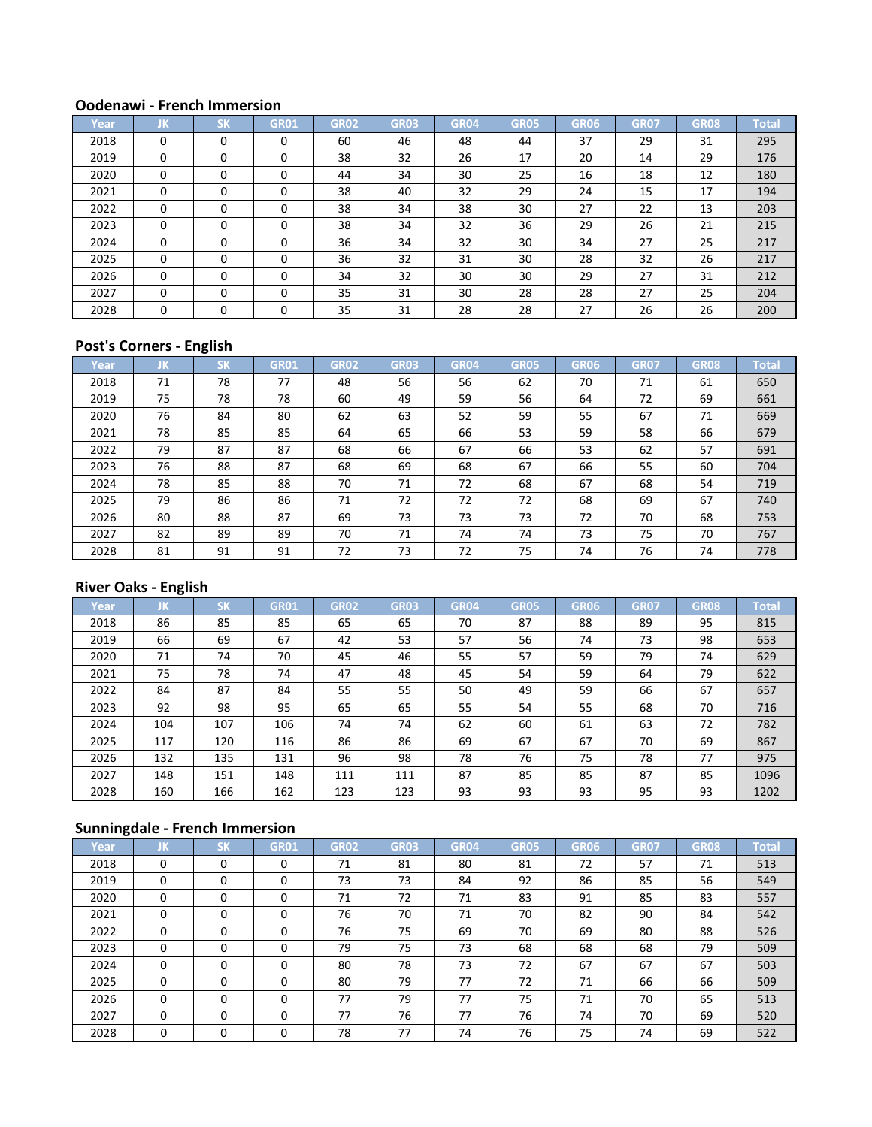| Year | JK       | <b>CM</b><br>וכ | <b>GR01</b> | <b>GR02</b> | <b>GR03</b> | <b>GR04</b> | <b>GR05</b> | GR06 | <b>GR07</b> | <b>GR08</b> | <b>Total</b> |
|------|----------|-----------------|-------------|-------------|-------------|-------------|-------------|------|-------------|-------------|--------------|
| 2018 | 0        | $\Omega$        |             | 60          | 46          | 48          | 44          | 37   | 29          | 31          | 295          |
| 2019 | $\Omega$ | $\Omega$        | 0           | 38          | 32          | 26          | 17          | 20   | 14          | 29          | 176          |
| 2020 | $\Omega$ | $\Omega$        |             | 44          | 34          | 30          | 25          | 16   | 18          | 12          | 180          |
| 2021 | $\Omega$ | $\Omega$        |             | 38          | 40          | 32          | 29          | 24   | 15          | 17          | 194          |
| 2022 | 0        | $\Omega$        |             | 38          | 34          | 38          | 30          | 27   | 22          | 13          | 203          |
| 2023 | $\Omega$ | $\Omega$        | 0           | 38          | 34          | 32          | 36          | 29   | 26          | 21          | 215          |
| 2024 | $\Omega$ | $\Omega$        | 0           | 36          | 34          | 32          | 30          | 34   | 27          | 25          | 217          |
| 2025 | 0        | $\Omega$        | $\Omega$    | 36          | 32          | 31          | 30          | 28   | 32          | 26          | 217          |
| 2026 | 0        | $\Omega$        | 0           | 34          | 32          | 30          | 30          | 29   | 27          | 31          | 212          |
| 2027 | $\Omega$ | $\Omega$        | $\Omega$    | 35          | 31          | 30          | 28          | 28   | 27          | 25          | 204          |
| 2028 | $\Omega$ | $\Omega$        |             | 35          | 31          | 28          | 28          | 27   | 26          | 26          | 200          |

## **Post's Corners - English**

| Year | JΚ. | <b>SK</b> | <b>GR01</b> | GR02 | <b>GR03</b> | GR04 | <b>GR05</b> | GR06 | <b>GR07</b> | <b>GR08</b> | <b>Total</b> |
|------|-----|-----------|-------------|------|-------------|------|-------------|------|-------------|-------------|--------------|
| 2018 | 71  | 78        | 77          | 48   | 56          | 56   | 62          | 70   | 71          | 61          | 650          |
| 2019 | 75  | 78        | 78          | 60   | 49          | 59   | 56          | 64   | 72          | 69          | 661          |
| 2020 | 76  | 84        | 80          | 62   | 63          | 52   | 59          | 55   | 67          | 71          | 669          |
| 2021 | 78  | 85        | 85          | 64   | 65          | 66   | 53          | 59   | 58          | 66          | 679          |
| 2022 | 79  | 87        | 87          | 68   | 66          | 67   | 66          | 53   | 62          | 57          | 691          |
| 2023 | 76  | 88        | 87          | 68   | 69          | 68   | 67          | 66   | 55          | 60          | 704          |
| 2024 | 78  | 85        | 88          | 70   | 71          | 72   | 68          | 67   | 68          | 54          | 719          |
| 2025 | 79  | 86        | 86          | 71   | 72          | 72   | 72          | 68   | 69          | 67          | 740          |
| 2026 | 80  | 88        | 87          | 69   | 73          | 73   | 73          | 72   | 70          | 68          | 753          |
| 2027 | 82  | 89        | 89          | 70   | 71          | 74   | 74          | 73   | 75          | 70          | 767          |
| 2028 | 81  | 91        | 91          | 72   | 73          | 72   | 75          | 74   | 76          | 74          | 778          |

## **River Oaks - English**

| Year | JΚ. | <b>SK</b> | <b>GR01</b> | <b>GR02</b> | <b>GR03</b> | <b>GR04</b> | <b>GR05</b> | <b>GR06</b> | <b>GR07</b> | GR <sub>08</sub> | <b>Total</b> |
|------|-----|-----------|-------------|-------------|-------------|-------------|-------------|-------------|-------------|------------------|--------------|
| 2018 | 86  | 85        | 85          | 65          | 65          | 70          | 87          | 88          | 89          | 95               | 815          |
| 2019 | 66  | 69        | 67          | 42          | 53          | 57          | 56          | 74          | 73          | 98               | 653          |
| 2020 | 71  | 74        | 70          | 45          | 46          | 55          | 57          | 59          | 79          | 74               | 629          |
| 2021 | 75  | 78        | 74          | 47          | 48          | 45          | 54          | 59          | 64          | 79               | 622          |
| 2022 | 84  | 87        | 84          | 55          | 55          | 50          | 49          | 59          | 66          | 67               | 657          |
| 2023 | 92  | 98        | 95          | 65          | 65          | 55          | 54          | 55          | 68          | 70               | 716          |
| 2024 | 104 | 107       | 106         | 74          | 74          | 62          | 60          | 61          | 63          | 72               | 782          |
| 2025 | 117 | 120       | 116         | 86          | 86          | 69          | 67          | 67          | 70          | 69               | 867          |
| 2026 | 132 | 135       | 131         | 96          | 98          | 78          | 76          | 75          | 78          | 77               | 975          |
| 2027 | 148 | 151       | 148         | 111         | 111         | 87          | 85          | 85          | 87          | 85               | 1096         |
| 2028 | 160 | 166       | 162         | 123         | 123         | 93          | 93          | 93          | 95          | 93               | 1202         |

| Year | JΚ.      | <b>SK</b> | <b>GR01</b> | <b>GR02</b> | <b>GR03</b> | <b>GR04</b> | <b>GR05</b> | GR06 | <b>GR07</b> | <b>GR08</b> | <b>Total</b> |
|------|----------|-----------|-------------|-------------|-------------|-------------|-------------|------|-------------|-------------|--------------|
| 2018 | 0        | 0         | $\Omega$    | 71          | 81          | 80          | 81          | 72   | 57          | 71          | 513          |
| 2019 | $\Omega$ | $\Omega$  | 0           | 73          | 73          | 84          | 92          | 86   | 85          | 56          | 549          |
| 2020 | $\Omega$ | $\Omega$  | $\Omega$    | 71          | 72          | 71          | 83          | 91   | 85          | 83          | 557          |
| 2021 | $\Omega$ | $\Omega$  |             | 76          | 70          | 71          | 70          | 82   | 90          | 84          | 542          |
| 2022 | $\Omega$ | $\Omega$  |             | 76          | 75          | 69          | 70          | 69   | 80          | 88          | 526          |
| 2023 | 0        | $\Omega$  | 0           | 79          | 75          | 73          | 68          | 68   | 68          | 79          | 509          |
| 2024 | $\Omega$ | $\Omega$  | 0           | 80          | 78          | 73          | 72          | 67   | 67          | 67          | 503          |
| 2025 | $\Omega$ | $\Omega$  | $\Omega$    | 80          | 79          | 77          | 72          | 71   | 66          | 66          | 509          |
| 2026 | $\Omega$ | $\Omega$  | $\Omega$    | 77          | 79          | 77          | 75          | 71   | 70          | 65          | 513          |
| 2027 | $\Omega$ | $\Omega$  | $\Omega$    | 77          | 76          | 77          | 76          | 74   | 70          | 69          | 520          |
| 2028 | 0        | 0         |             | 78          | 77          | 74          | 76          | 75   | 74          | 69          | 522          |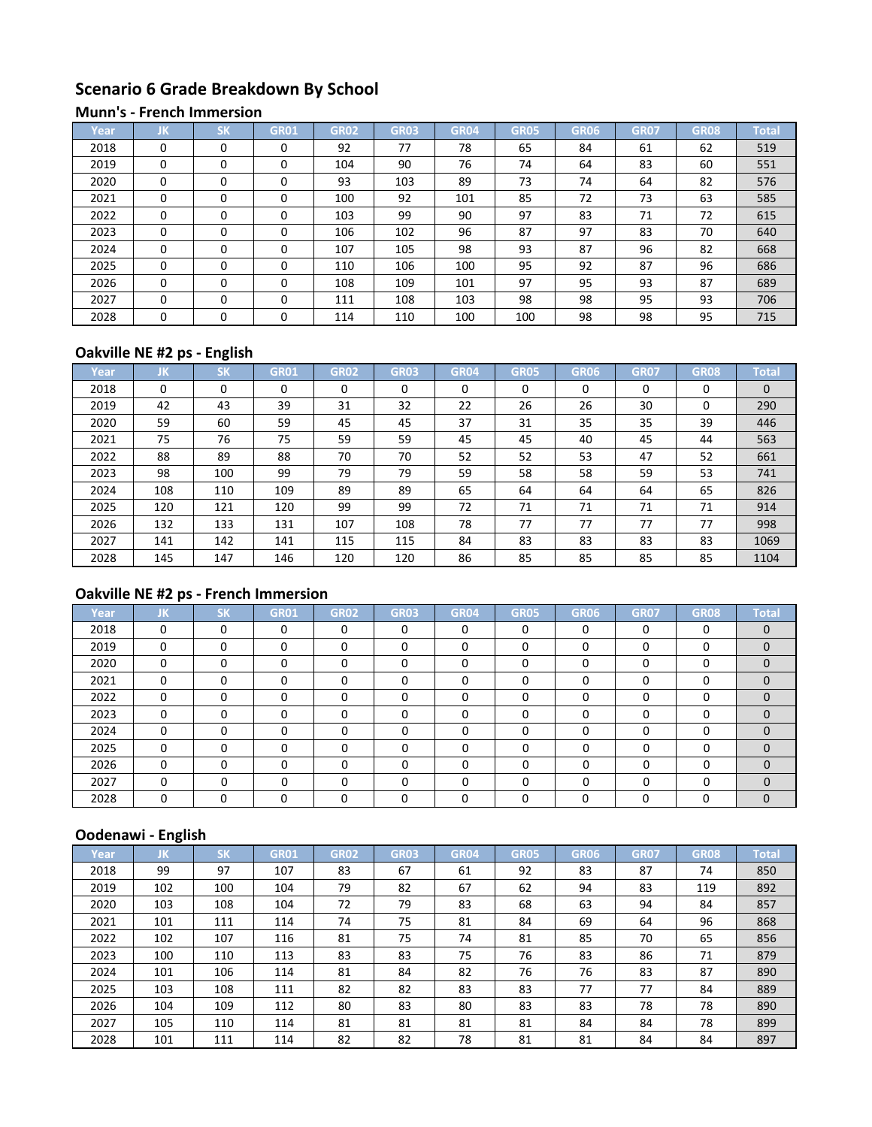# **Scenario 6 Grade Breakdown By School**

#### **Munn's - French Immersion**

| Year | JK       | $c\nu$<br>эN | GR01     | <b>GR02</b> | <b>GR03</b> | <b>GR04</b> | <b>GR05</b> | GR06 | <b>GR07</b> | GR08 | <b>Total</b> |
|------|----------|--------------|----------|-------------|-------------|-------------|-------------|------|-------------|------|--------------|
| 2018 | $\Omega$ | $\Omega$     | 0        | 92          | 77          | 78          | 65          | 84   | 61          | 62   | 519          |
| 2019 | $\Omega$ | $\Omega$     | 0        | 104         | 90          | 76          | 74          | 64   | 83          | 60   | 551          |
| 2020 | $\Omega$ | $\Omega$     | 0        | 93          | 103         | 89          | 73          | 74   | 64          | 82   | 576          |
| 2021 | $\Omega$ | $\Omega$     | $\Omega$ | 100         | 92          | 101         | 85          | 72   | 73          | 63   | 585          |
| 2022 | $\Omega$ | $\Omega$     | $\Omega$ | 103         | 99          | 90          | 97          | 83   | 71          | 72   | 615          |
| 2023 | $\Omega$ | $\Omega$     | 0        | 106         | 102         | 96          | 87          | 97   | 83          | 70   | 640          |
| 2024 | $\Omega$ | $\Omega$     | 0        | 107         | 105         | 98          | 93          | 87   | 96          | 82   | 668          |
| 2025 | $\Omega$ | $\Omega$     | $\Omega$ | 110         | 106         | 100         | 95          | 92   | 87          | 96   | 686          |
| 2026 | $\Omega$ | $\Omega$     | 0        | 108         | 109         | 101         | 97          | 95   | 93          | 87   | 689          |
| 2027 | $\Omega$ | $\Omega$     | $\Omega$ | 111         | 108         | 103         | 98          | 98   | 95          | 93   | 706          |
| 2028 | $\Omega$ | $\Omega$     | 0        | 114         | 110         | 100         | 100         | 98   | 98          | 95   | 715          |

## **Oakville NE #2 ps - English**

| Year | IJΚ. | <b>SK</b> | <b>GR01</b> | <b>GR02</b> | <b>GR03</b> | GR04 | <b>GR05</b> | GR06 | GR <sub>07</sub> | <b>GR08</b> | Total    |
|------|------|-----------|-------------|-------------|-------------|------|-------------|------|------------------|-------------|----------|
| 2018 | 0    | 0         | 0           | 0           | $\Omega$    | 0    | $\Omega$    | 0    | 0                | 0           | $\Omega$ |
| 2019 | 42   | 43        | 39          | 31          | 32          | 22   | 26          | 26   | 30               | 0           | 290      |
| 2020 | 59   | 60        | 59          | 45          | 45          | 37   | 31          | 35   | 35               | 39          | 446      |
| 2021 | 75   | 76        | 75          | 59          | 59          | 45   | 45          | 40   | 45               | 44          | 563      |
| 2022 | 88   | 89        | 88          | 70          | 70          | 52   | 52          | 53   | 47               | 52          | 661      |
| 2023 | 98   | 100       | 99          | 79          | 79          | 59   | 58          | 58   | 59               | 53          | 741      |
| 2024 | 108  | 110       | 109         | 89          | 89          | 65   | 64          | 64   | 64               | 65          | 826      |
| 2025 | 120  | 121       | 120         | 99          | 99          | 72   | 71          | 71   | 71               | 71          | 914      |
| 2026 | 132  | 133       | 131         | 107         | 108         | 78   | 77          | 77   | 77               | 77          | 998      |
| 2027 | 141  | 142       | 141         | 115         | 115         | 84   | 83          | 83   | 83               | 83          | 1069     |
| 2028 | 145  | 147       | 146         | 120         | 120         | 86   | 85          | 85   | 85               | 85          | 1104     |

# **Oakville NE #2 ps - French Immersion**

| Year | JK           | <b>SK</b> | <b>GR01</b>  | <b>GR02</b> | <b>GR03</b> | <b>GR04</b> | <b>GR05</b> | GR06     | <b>GR07</b> | <b>GR08</b> | <b>Total</b> |
|------|--------------|-----------|--------------|-------------|-------------|-------------|-------------|----------|-------------|-------------|--------------|
| 2018 | $\Omega$     | $\Omega$  | 0            | 0           | $\Omega$    | $\Omega$    | $\Omega$    | $\Omega$ | $\Omega$    | 0           | $\Omega$     |
| 2019 | 0            | 0         | 0            | 0           | 0           | 0           | 0           | 0        | 0           | 0           | $\Omega$     |
| 2020 | 0            | $\Omega$  | 0            | 0           | 0           | $\Omega$    | $\Omega$    | 0        | 0           | 0           | $\Omega$     |
| 2021 | U            | $\Omega$  | 0            | 0           | 0           | $\Omega$    | $\Omega$    | ∩        | $\Omega$    | 0           | $\Omega$     |
| 2022 | U            | $\Omega$  | 0            | O           | O           | $\Omega$    | $\Omega$    |          | $\Omega$    | $\Omega$    |              |
| 2023 | $\Omega$     | 0         | 0            | 0           | U           | O           | $\Omega$    | ∩        | $\Omega$    | $\Omega$    |              |
| 2024 | <sup>0</sup> | $\Omega$  | <sup>0</sup> | U           | n           | $\Omega$    | $\Omega$    | O        | $\Omega$    | $\Omega$    | $\Omega$     |
| 2025 | $\Omega$     | 0         | $\Omega$     | 0           | 0           | 0           | $\Omega$    | O        | $\Omega$    | $\Omega$    | $\Omega$     |
| 2026 | 0            | 0         | 0            |             | 0           | 0           | $\Omega$    | ∩        | $\Omega$    | 0           |              |
| 2027 | O            | $\Omega$  | 0            | 0           | 0           | $\Omega$    | $\Omega$    |          | $\Omega$    | $\Omega$    | $\Omega$     |
| 2028 | 0            | 0         |              |             |             | 0           | $\Omega$    |          | ŋ           | 0           | $\Omega$     |

| Year | IJΚ | <b>SK</b> | <b>GR01</b> | <b>GR02</b> | <b>GR03</b> | <b>GR04</b> | <b>GR05</b> | <b>GR06</b> | <b>GR07</b> | <b>GR08</b> | <b>Total</b> |
|------|-----|-----------|-------------|-------------|-------------|-------------|-------------|-------------|-------------|-------------|--------------|
| 2018 | 99  | 97        | 107         | 83          | 67          | 61          | 92          | 83          | 87          | 74          | 850          |
| 2019 | 102 | 100       | 104         | 79          | 82          | 67          | 62          | 94          | 83          | 119         | 892          |
| 2020 | 103 | 108       | 104         | 72          | 79          | 83          | 68          | 63          | 94          | 84          | 857          |
| 2021 | 101 | 111       | 114         | 74          | 75          | 81          | 84          | 69          | 64          | 96          | 868          |
| 2022 | 102 | 107       | 116         | 81          | 75          | 74          | 81          | 85          | 70          | 65          | 856          |
| 2023 | 100 | 110       | 113         | 83          | 83          | 75          | 76          | 83          | 86          | 71          | 879          |
| 2024 | 101 | 106       | 114         | 81          | 84          | 82          | 76          | 76          | 83          | 87          | 890          |
| 2025 | 103 | 108       | 111         | 82          | 82          | 83          | 83          | 77          | 77          | 84          | 889          |
| 2026 | 104 | 109       | 112         | 80          | 83          | 80          | 83          | 83          | 78          | 78          | 890          |
| 2027 | 105 | 110       | 114         | 81          | 81          | 81          | 81          | 84          | 84          | 78          | 899          |
| 2028 | 101 | 111       | 114         | 82          | 82          | 78          | 81          | 81          | 84          | 84          | 897          |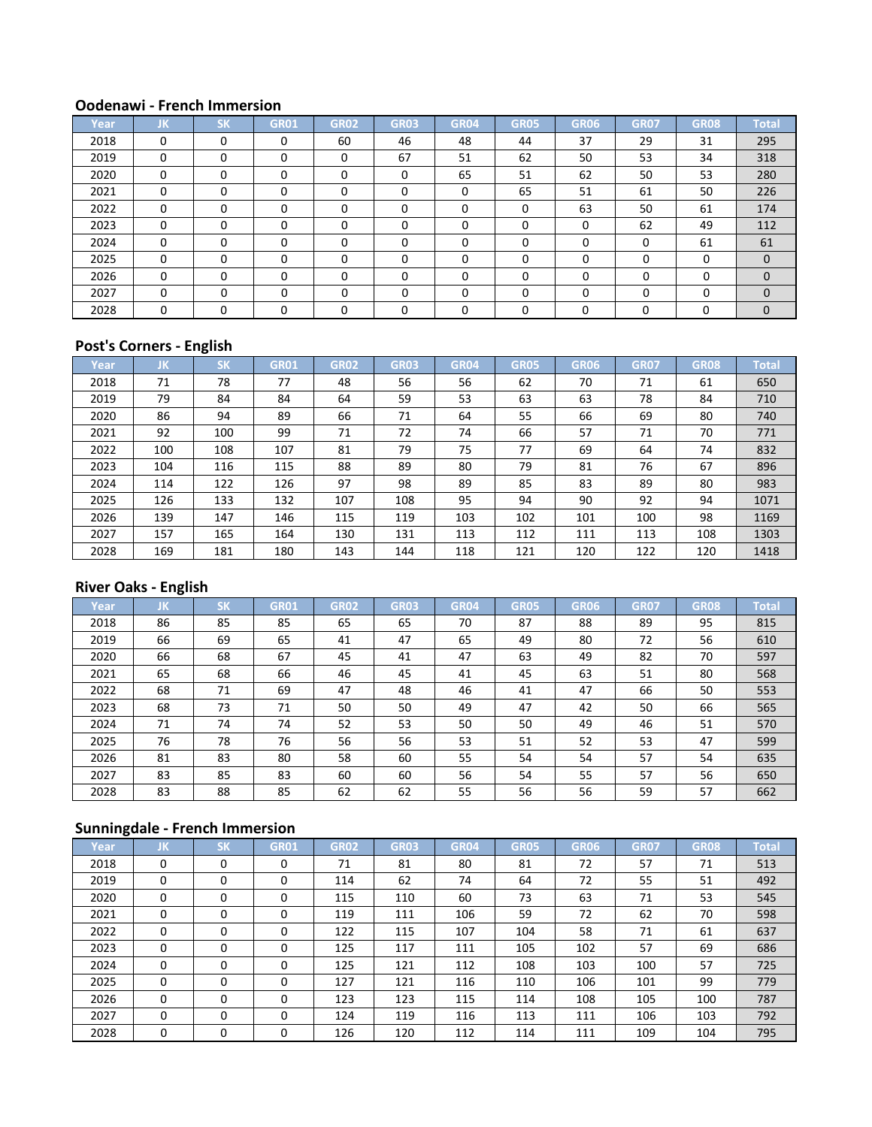| Year | JK       | <b>SK</b> | <b>GR01</b> | <b>GR02</b> | <b>GR03</b> | <b>GR04</b> | <b>GR05</b> | GR06 | <b>GR07</b> | <b>GR08</b> | <b>Total</b> |
|------|----------|-----------|-------------|-------------|-------------|-------------|-------------|------|-------------|-------------|--------------|
| 2018 | 0        | $\Omega$  | 0           | 60          | 46          | 48          | 44          | 37   | 29          | 31          | 295          |
| 2019 | 0        | $\Omega$  | $\Omega$    | 0           | 67          | 51          | 62          | 50   | 53          | 34          | 318          |
| 2020 | 0        | $\Omega$  |             | 0           | $\Omega$    | 65          | 51          | 62   | 50          | 53          | 280          |
| 2021 | 0        | $\Omega$  |             | 0           | $\Omega$    | 0           | 65          | 51   | 61          | 50          | 226          |
| 2022 | $\Omega$ | $\Omega$  |             | 0           | $\Omega$    | $\Omega$    | $\Omega$    | 63   | 50          | 61          | 174          |
| 2023 | $\Omega$ | $\Omega$  | 0           | 0           | $\Omega$    | $\Omega$    | $\Omega$    | 0    | 62          | 49          | 112          |
| 2024 | 0        | $\Omega$  | $\Omega$    | 0           | $\Omega$    | $\Omega$    | 0           | 0    | $\Omega$    | 61          | 61           |
| 2025 | $\Omega$ | $\Omega$  | 0           | 0           | $\Omega$    | $\Omega$    | $\Omega$    | O    | 0           | $\Omega$    | $\Omega$     |
| 2026 | 0        | $\Omega$  | 0           | 0           | O           | $\Omega$    | $\Omega$    |      | O           | 0           | $\Omega$     |
| 2027 | $\Omega$ | $\Omega$  | $\Omega$    | 0           | $\Omega$    | $\Omega$    | $\Omega$    |      | $\Omega$    | $\Omega$    | $\Omega$     |
| 2028 | $\Omega$ | O         |             | n           | U           | $\Omega$    | $\Omega$    |      | U           | $\Omega$    | $\mathbf{0}$ |

## **Post's Corners - English**

| Year | IJΚ. | <b>SK</b> | <b>GR01</b> | GR <sub>02</sub> | <b>GR03</b> | <b>GR04</b> | <b>GR05</b> | GR06 | <b>GR07</b> | <b>GR08</b> | <b>Total</b> |
|------|------|-----------|-------------|------------------|-------------|-------------|-------------|------|-------------|-------------|--------------|
| 2018 | 71   | 78        | 77          | 48               | 56          | 56          | 62          | 70   | 71          | 61          | 650          |
| 2019 | 79   | 84        | 84          | 64               | 59          | 53          | 63          | 63   | 78          | 84          | 710          |
| 2020 | 86   | 94        | 89          | 66               | 71          | 64          | 55          | 66   | 69          | 80          | 740          |
| 2021 | 92   | 100       | 99          | 71               | 72          | 74          | 66          | 57   | 71          | 70          | 771          |
| 2022 | 100  | 108       | 107         | 81               | 79          | 75          | 77          | 69   | 64          | 74          | 832          |
| 2023 | 104  | 116       | 115         | 88               | 89          | 80          | 79          | 81   | 76          | 67          | 896          |
| 2024 | 114  | 122       | 126         | 97               | 98          | 89          | 85          | 83   | 89          | 80          | 983          |
| 2025 | 126  | 133       | 132         | 107              | 108         | 95          | 94          | 90   | 92          | 94          | 1071         |
| 2026 | 139  | 147       | 146         | 115              | 119         | 103         | 102         | 101  | 100         | 98          | 1169         |
| 2027 | 157  | 165       | 164         | 130              | 131         | 113         | 112         | 111  | 113         | 108         | 1303         |
| 2028 | 169  | 181       | 180         | 143              | 144         | 118         | 121         | 120  | 122         | 120         | 1418         |

## **River Oaks - English**

| Year | IJΚ. | <b>SK</b> | <b>GR01</b> | <b>GR02</b> | <b>GR03</b> | <b>GR04</b> | <b>GR05</b> | GR06 | <b>GR07</b> | <b>GR08</b> | Total |
|------|------|-----------|-------------|-------------|-------------|-------------|-------------|------|-------------|-------------|-------|
| 2018 | 86   | 85        | 85          | 65          | 65          | 70          | 87          | 88   | 89          | 95          | 815   |
| 2019 | 66   | 69        | 65          | 41          | 47          | 65          | 49          | 80   | 72          | 56          | 610   |
| 2020 | 66   | 68        | 67          | 45          | 41          | 47          | 63          | 49   | 82          | 70          | 597   |
| 2021 | 65   | 68        | 66          | 46          | 45          | 41          | 45          | 63   | 51          | 80          | 568   |
| 2022 | 68   | 71        | 69          | 47          | 48          | 46          | 41          | 47   | 66          | 50          | 553   |
| 2023 | 68   | 73        | 71          | 50          | 50          | 49          | 47          | 42   | 50          | 66          | 565   |
| 2024 | 71   | 74        | 74          | 52          | 53          | 50          | 50          | 49   | 46          | 51          | 570   |
| 2025 | 76   | 78        | 76          | 56          | 56          | 53          | 51          | 52   | 53          | 47          | 599   |
| 2026 | 81   | 83        | 80          | 58          | 60          | 55          | 54          | 54   | 57          | 54          | 635   |
| 2027 | 83   | 85        | 83          | 60          | 60          | 56          | 54          | 55   | 57          | 56          | 650   |
| 2028 | 83   | 88        | 85          | 62          | 62          | 55          | 56          | 56   | 59          | 57          | 662   |

| Year | JK       | <b>SK</b> | <b>GR01</b> | <b>GR02</b> | <b>GR03</b> | <b>GR04</b> | <b>GR05</b> | GR06 | <b>GR07</b> | <b>GR08</b> | <b>Total</b> |
|------|----------|-----------|-------------|-------------|-------------|-------------|-------------|------|-------------|-------------|--------------|
| 2018 | $\Omega$ | $\Omega$  | $\Omega$    | 71          | 81          | 80          | 81          | 72   | 57          | 71          | 513          |
| 2019 | 0        | 0         | 0           | 114         | 62          | 74          | 64          | 72   | 55          | 51          | 492          |
| 2020 | $\Omega$ | 0         | 0           | 115         | 110         | 60          | 73          | 63   | 71          | 53          | 545          |
| 2021 | $\Omega$ | $\Omega$  | 0           | 119         | 111         | 106         | 59          | 72   | 62          | 70          | 598          |
| 2022 | 0        | 0         | 0           | 122         | 115         | 107         | 104         | 58   | 71          | 61          | 637          |
| 2023 | $\Omega$ | $\Omega$  | $\Omega$    | 125         | 117         | 111         | 105         | 102  | 57          | 69          | 686          |
| 2024 | $\Omega$ | $\Omega$  | $\Omega$    | 125         | 121         | 112         | 108         | 103  | 100         | 57          | 725          |
| 2025 | $\Omega$ | $\Omega$  | $\Omega$    | 127         | 121         | 116         | 110         | 106  | 101         | 99          | 779          |
| 2026 | $\Omega$ | 0         | 0           | 123         | 123         | 115         | 114         | 108  | 105         | 100         | 787          |
| 2027 | $\Omega$ | $\Omega$  | 0           | 124         | 119         | 116         | 113         | 111  | 106         | 103         | 792          |
| 2028 | 0        | 0         | 0           | 126         | 120         | 112         | 114         | 111  | 109         | 104         | 795          |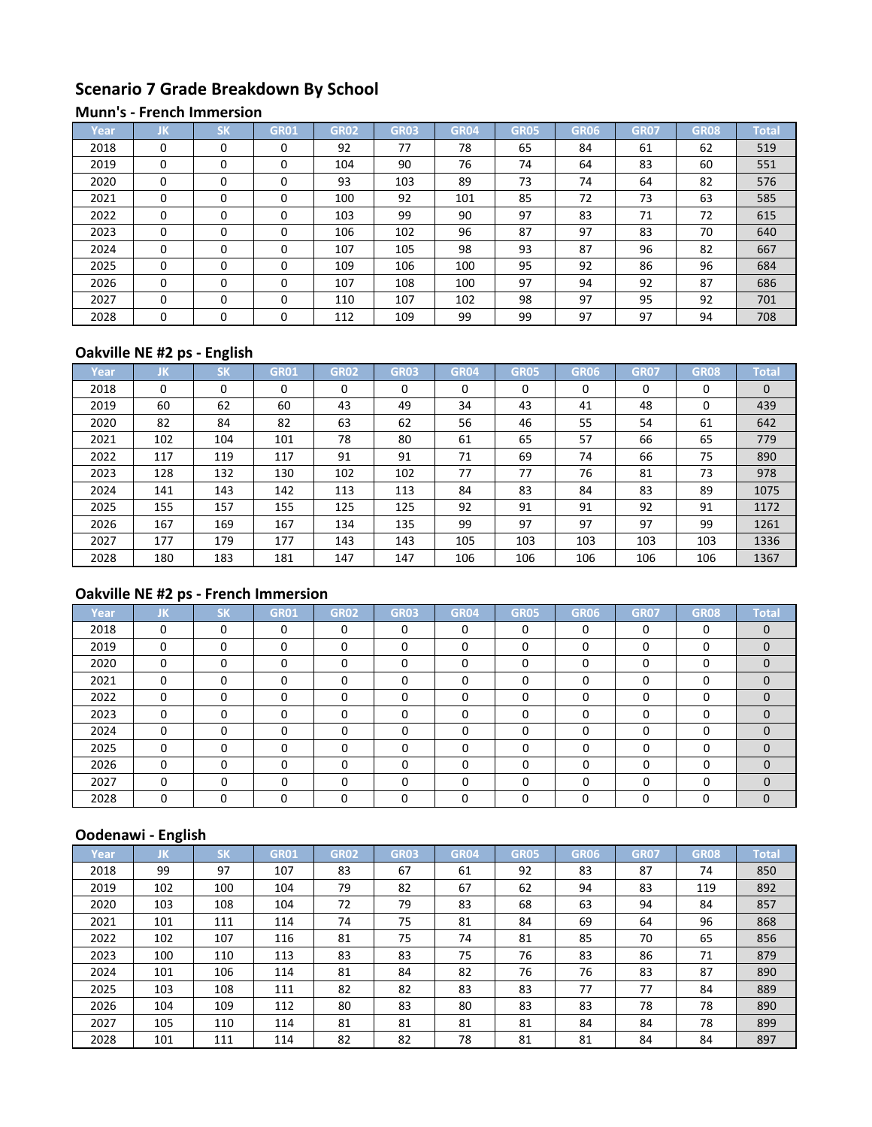# **Scenario 7 Grade Breakdown By School**

#### **Munn's - French Immersion**

| Year | JK       | SK       | GR01     | <b>GR02</b> | <b>GR03</b> | GR04 | <b>GR05</b> | GR06 | <b>GR07</b> | <b>GR08</b> | <b>Total</b> |
|------|----------|----------|----------|-------------|-------------|------|-------------|------|-------------|-------------|--------------|
| 2018 | $\Omega$ | $\Omega$ | 0        | 92          | 77          | 78   | 65          | 84   | 61          | 62          | 519          |
| 2019 | $\Omega$ | $\Omega$ | 0        | 104         | 90          | 76   | 74          | 64   | 83          | 60          | 551          |
| 2020 | $\Omega$ | $\Omega$ | $\Omega$ | 93          | 103         | 89   | 73          | 74   | 64          | 82          | 576          |
| 2021 | $\Omega$ | $\Omega$ | 0        | 100         | 92          | 101  | 85          | 72   | 73          | 63          | 585          |
| 2022 | $\Omega$ | $\Omega$ | $\Omega$ | 103         | 99          | 90   | 97          | 83   | 71          | 72          | 615          |
| 2023 | $\Omega$ | $\Omega$ | 0        | 106         | 102         | 96   | 87          | 97   | 83          | 70          | 640          |
| 2024 | $\Omega$ | $\Omega$ | 0        | 107         | 105         | 98   | 93          | 87   | 96          | 82          | 667          |
| 2025 | $\Omega$ | $\Omega$ | 0        | 109         | 106         | 100  | 95          | 92   | 86          | 96          | 684          |
| 2026 | $\Omega$ | $\Omega$ | 0        | 107         | 108         | 100  | 97          | 94   | 92          | 87          | 686          |
| 2027 | $\Omega$ | $\Omega$ | $\Omega$ | 110         | 107         | 102  | 98          | 97   | 95          | 92          | 701          |
| 2028 | $\Omega$ | $\Omega$ | 0        | 112         | 109         | 99   | 99          | 97   | 97          | 94          | 708          |

## **Oakville NE #2 ps - English**

| Year | IJΚ      | <b>SK</b> | <b>GR01</b> | <b>GR02</b> | <b>GR03</b> | <b>GR04</b> | <b>GR05</b> | GR06 | <b>GR07</b> | <b>GR08</b> | <b>Total</b> |
|------|----------|-----------|-------------|-------------|-------------|-------------|-------------|------|-------------|-------------|--------------|
| 2018 | $\Omega$ | 0         |             | 0           | 0           | 0           | $\Omega$    | 0    | 0           | 0           | $\Omega$     |
| 2019 | 60       | 62        | 60          | 43          | 49          | 34          | 43          | 41   | 48          | 0           | 439          |
| 2020 | 82       | 84        | 82          | 63          | 62          | 56          | 46          | 55   | 54          | 61          | 642          |
| 2021 | 102      | 104       | 101         | 78          | 80          | 61          | 65          | 57   | 66          | 65          | 779          |
| 2022 | 117      | 119       | 117         | 91          | 91          | 71          | 69          | 74   | 66          | 75          | 890          |
| 2023 | 128      | 132       | 130         | 102         | 102         | 77          | 77          | 76   | 81          | 73          | 978          |
| 2024 | 141      | 143       | 142         | 113         | 113         | 84          | 83          | 84   | 83          | 89          | 1075         |
| 2025 | 155      | 157       | 155         | 125         | 125         | 92          | 91          | 91   | 92          | 91          | 1172         |
| 2026 | 167      | 169       | 167         | 134         | 135         | 99          | 97          | 97   | 97          | 99          | 1261         |
| 2027 | 177      | 179       | 177         | 143         | 143         | 105         | 103         | 103  | 103         | 103         | 1336         |
| 2028 | 180      | 183       | 181         | 147         | 147         | 106         | 106         | 106  | 106         | 106         | 1367         |

# **Oakville NE #2 ps - French Immersion**

| Year | JK       | <b>SK</b> | <b>GR01</b> | <b>GR02</b> | <b>GR03</b> | <b>GR04</b> | <b>GR05</b> | GR06 | <b>GR07</b> | <b>GR08</b> | <b>Total</b> |
|------|----------|-----------|-------------|-------------|-------------|-------------|-------------|------|-------------|-------------|--------------|
| 2018 | 0        | $\Omega$  | $\Omega$    | $\Omega$    | $\Omega$    | $\Omega$    | $\Omega$    | 0    | $\Omega$    | $\Omega$    | $\Omega$     |
| 2019 | 0        | 0         | $\Omega$    | 0           | 0           | $\Omega$    | $\Omega$    |      | 0           | 0           | $\Omega$     |
| 2020 | 0        | 0         | $\Omega$    | $\Omega$    | 0           | $\Omega$    | $\Omega$    |      | 0           | 0           | $\Omega$     |
| 2021 | 0        | 0         | O           | 0           | O           | $\Omega$    | $\Omega$    |      | $\Omega$    | 0           | $\Omega$     |
| 2022 | $\Omega$ | 0         | U           | O           | ŋ           | $\Omega$    | $\Omega$    |      | $\Omega$    | 0           |              |
| 2023 | $\Omega$ | $\Omega$  | O           | 0           | O           | $\Omega$    | $\Omega$    |      | $\Omega$    | 0           |              |
| 2024 | $\Omega$ | $\Omega$  | $\Omega$    | U           | n           | $\Omega$    | $\Omega$    |      | $\Omega$    | 0           | $\Omega$     |
| 2025 | $\Omega$ | 0         | $\Omega$    | 0           | O           | $\Omega$    | O           |      | 0           | 0           | $\Omega$     |
| 2026 | 0        | 0         |             | n           | ŋ           | $\Omega$    | $\Omega$    | ◠    | 0           | 0           | $\Omega$     |
| 2027 | $\Omega$ | 0         | 0           | U           | ŋ           | $\Omega$    | $\Omega$    |      | $\Omega$    | 0           | $\Omega$     |
| 2028 | 0        | 0         | O           |             |             | O           | 0           |      | 0           | 0           | $\Omega$     |

|      | -    |                 |             |             |             |             |             |      |             |             |              |
|------|------|-----------------|-------------|-------------|-------------|-------------|-------------|------|-------------|-------------|--------------|
| Year | IJΚ. | <b>CV</b><br>ÞК | <b>GR01</b> | <b>GR02</b> | <b>GR03</b> | <b>GR04</b> | <b>GR05</b> | GR06 | <b>GR07</b> | <b>GR08</b> | <b>Total</b> |
| 2018 | 99   | 97              | 107         | 83          | 67          | 61          | 92          | 83   | 87          | 74          | 850          |
| 2019 | 102  | 100             | 104         | 79          | 82          | 67          | 62          | 94   | 83          | 119         | 892          |
| 2020 | 103  | 108             | 104         | 72          | 79          | 83          | 68          | 63   | 94          | 84          | 857          |
| 2021 | 101  | 111             | 114         | 74          | 75          | 81          | 84          | 69   | 64          | 96          | 868          |
| 2022 | 102  | 107             | 116         | 81          | 75          | 74          | 81          | 85   | 70          | 65          | 856          |
| 2023 | 100  | 110             | 113         | 83          | 83          | 75          | 76          | 83   | 86          | 71          | 879          |
| 2024 | 101  | 106             | 114         | 81          | 84          | 82          | 76          | 76   | 83          | 87          | 890          |
| 2025 | 103  | 108             | 111         | 82          | 82          | 83          | 83          | 77   | 77          | 84          | 889          |
| 2026 | 104  | 109             | 112         | 80          | 83          | 80          | 83          | 83   | 78          | 78          | 890          |
| 2027 | 105  | 110             | 114         | 81          | 81          | 81          | 81          | 84   | 84          | 78          | 899          |
| 2028 | 101  | 111             | 114         | 82          | 82          | 78          | 81          | 81   | 84          | 84          | 897          |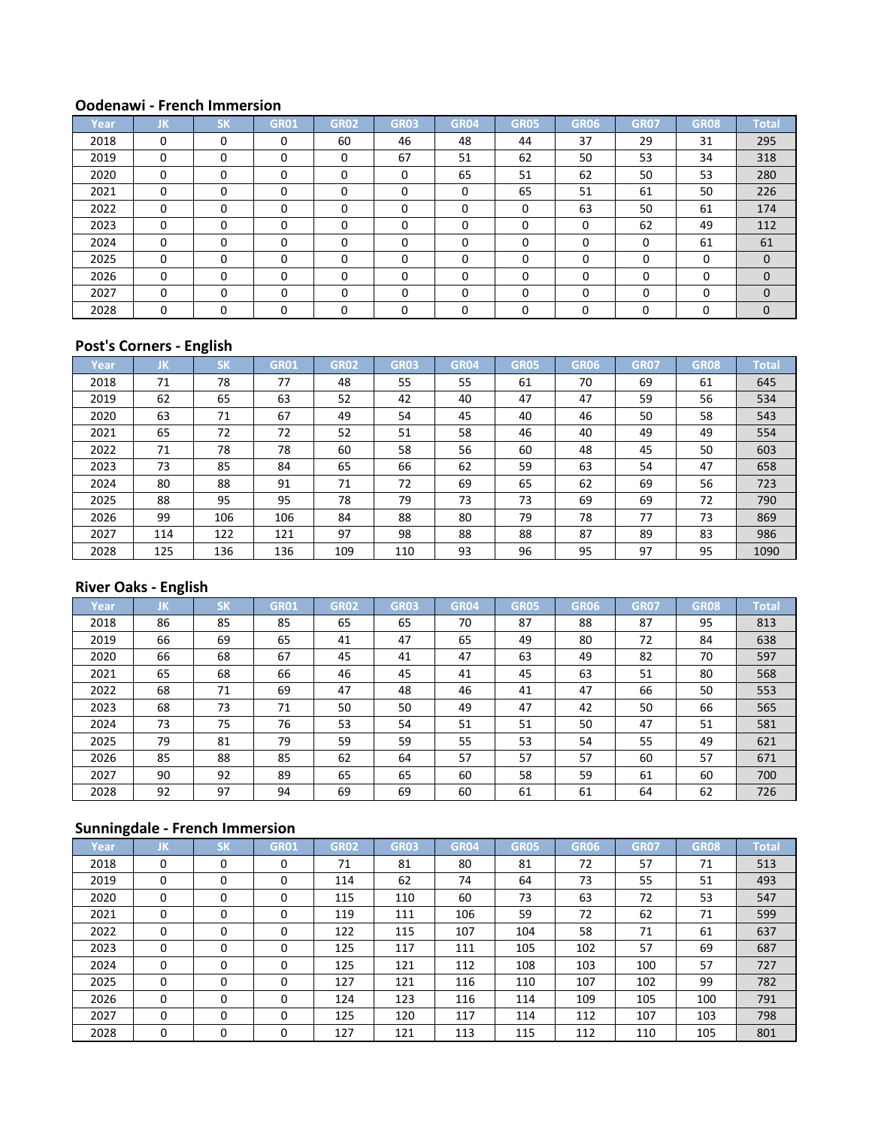| Year | JK       | <b>SK</b> | <b>GR01</b> | <b>GR02</b> | <b>GR03</b> | <b>GR04</b> | <b>GR05</b> | GR06 | <b>GR07</b> | <b>GR08</b> | <b>Total</b> |
|------|----------|-----------|-------------|-------------|-------------|-------------|-------------|------|-------------|-------------|--------------|
| 2018 | 0        | $\Omega$  | 0           | 60          | 46          | 48          | 44          | 37   | 29          | 31          | 295          |
| 2019 | 0        | $\Omega$  | $\Omega$    | 0           | 67          | 51          | 62          | 50   | 53          | 34          | 318          |
| 2020 | 0        | $\Omega$  |             | 0           | $\Omega$    | 65          | 51          | 62   | 50          | 53          | 280          |
| 2021 | 0        | $\Omega$  |             | 0           | $\Omega$    | 0           | 65          | 51   | 61          | 50          | 226          |
| 2022 | $\Omega$ | $\Omega$  |             | 0           | $\Omega$    | $\Omega$    | $\Omega$    | 63   | 50          | 61          | 174          |
| 2023 | $\Omega$ | $\Omega$  | 0           | 0           | $\Omega$    | $\Omega$    | $\Omega$    | 0    | 62          | 49          | 112          |
| 2024 | 0        | $\Omega$  | $\Omega$    | 0           | $\Omega$    | $\Omega$    | 0           | 0    | $\Omega$    | 61          | 61           |
| 2025 | $\Omega$ | $\Omega$  | 0           | 0           | $\Omega$    | $\Omega$    | $\Omega$    | O    | 0           | $\Omega$    | $\Omega$     |
| 2026 | 0        | $\Omega$  | 0           | 0           | O           | $\Omega$    | $\Omega$    |      | O           | 0           | $\Omega$     |
| 2027 | $\Omega$ | $\Omega$  | $\Omega$    | 0           | $\Omega$    | $\Omega$    | $\Omega$    |      | $\Omega$    | $\Omega$    | $\Omega$     |
| 2028 | $\Omega$ | O         |             | n           | U           | $\Omega$    | $\Omega$    |      | U           | $\Omega$    | $\mathbf{0}$ |

## **Post's Corners - English**

| Year | JΚ. | <b>SK</b> | <b>GR01</b> | GR02 | <b>GR03</b> | GR04 | <b>GR05</b> | GR06 | <b>GR07</b> | <b>GR08</b> | <b>Total</b> |
|------|-----|-----------|-------------|------|-------------|------|-------------|------|-------------|-------------|--------------|
| 2018 | 71  | 78        | 77          | 48   | 55          | 55   | 61          | 70   | 69          | 61          | 645          |
| 2019 | 62  | 65        | 63          | 52   | 42          | 40   | 47          | 47   | 59          | 56          | 534          |
| 2020 | 63  | 71        | 67          | 49   | 54          | 45   | 40          | 46   | 50          | 58          | 543          |
| 2021 | 65  | 72        | 72          | 52   | 51          | 58   | 46          | 40   | 49          | 49          | 554          |
| 2022 | 71  | 78        | 78          | 60   | 58          | 56   | 60          | 48   | 45          | 50          | 603          |
| 2023 | 73  | 85        | 84          | 65   | 66          | 62   | 59          | 63   | 54          | 47          | 658          |
| 2024 | 80  | 88        | 91          | 71   | 72          | 69   | 65          | 62   | 69          | 56          | 723          |
| 2025 | 88  | 95        | 95          | 78   | 79          | 73   | 73          | 69   | 69          | 72          | 790          |
| 2026 | 99  | 106       | 106         | 84   | 88          | 80   | 79          | 78   | 77          | 73          | 869          |
| 2027 | 114 | 122       | 121         | 97   | 98          | 88   | 88          | 87   | 89          | 83          | 986          |
| 2028 | 125 | 136       | 136         | 109  | 110         | 93   | 96          | 95   | 97          | 95          | 1090         |

## **River Oaks - English**

| Year | IJΚ. | <b>SK</b> | <b>GR01</b> | <b>GR02</b> | <b>GR03</b> | <b>GR04</b> | <b>GR05</b> | GR06 | <b>GR07</b> | <b>GR08</b> | Total |
|------|------|-----------|-------------|-------------|-------------|-------------|-------------|------|-------------|-------------|-------|
| 2018 | 86   | 85        | 85          | 65          | 65          | 70          | 87          | 88   | 87          | 95          | 813   |
| 2019 | 66   | 69        | 65          | 41          | 47          | 65          | 49          | 80   | 72          | 84          | 638   |
| 2020 | 66   | 68        | 67          | 45          | 41          | 47          | 63          | 49   | 82          | 70          | 597   |
| 2021 | 65   | 68        | 66          | 46          | 45          | 41          | 45          | 63   | 51          | 80          | 568   |
| 2022 | 68   | 71        | 69          | 47          | 48          | 46          | 41          | 47   | 66          | 50          | 553   |
| 2023 | 68   | 73        | 71          | 50          | 50          | 49          | 47          | 42   | 50          | 66          | 565   |
| 2024 | 73   | 75        | 76          | 53          | 54          | 51          | 51          | 50   | 47          | 51          | 581   |
| 2025 | 79   | 81        | 79          | 59          | 59          | 55          | 53          | 54   | 55          | 49          | 621   |
| 2026 | 85   | 88        | 85          | 62          | 64          | 57          | 57          | 57   | 60          | 57          | 671   |
| 2027 | 90   | 92        | 89          | 65          | 65          | 60          | 58          | 59   | 61          | 60          | 700   |
| 2028 | 92   | 97        | 94          | 69          | 69          | 60          | 61          | 61   | 64          | 62          | 726   |

| Year | JΚ.      | <b>SK</b> | <b>GR01</b> | <b>GR02</b> | <b>GR03</b> | <b>GR04</b> | <b>GR05</b> | GR06 | <b>GR07</b> | <b>GR08</b> | <b>Total</b> |
|------|----------|-----------|-------------|-------------|-------------|-------------|-------------|------|-------------|-------------|--------------|
| 2018 | 0        | 0         |             | 71          | 81          | 80          | 81          | 72   | 57          | 71          | 513          |
| 2019 | $\Omega$ | $\Omega$  | 0           | 114         | 62          | 74          | 64          | 73   | 55          | 51          | 493          |
| 2020 | $\Omega$ | $\Omega$  |             | 115         | 110         | 60          | 73          | 63   | 72          | 53          | 547          |
| 2021 | $\Omega$ | $\Omega$  |             | 119         | 111         | 106         | 59          | 72   | 62          | 71          | 599          |
| 2022 | $\Omega$ | $\Omega$  |             | 122         | 115         | 107         | 104         | 58   | 71          | 61          | 637          |
| 2023 | $\Omega$ | $\Omega$  |             | 125         | 117         | 111         | 105         | 102  | 57          | 69          | 687          |
| 2024 | $\Omega$ | $\Omega$  | $\Omega$    | 125         | 121         | 112         | 108         | 103  | 100         | 57          | 727          |
| 2025 | $\Omega$ | $\Omega$  | $\Omega$    | 127         | 121         | 116         | 110         | 107  | 102         | 99          | 782          |
| 2026 | $\Omega$ | $\Omega$  | $\Omega$    | 124         | 123         | 116         | 114         | 109  | 105         | 100         | 791          |
| 2027 | $\Omega$ | $\Omega$  | $\Omega$    | 125         | 120         | 117         | 114         | 112  | 107         | 103         | 798          |
| 2028 | 0        | 0         |             | 127         | 121         | 113         | 115         | 112  | 110         | 105         | 801          |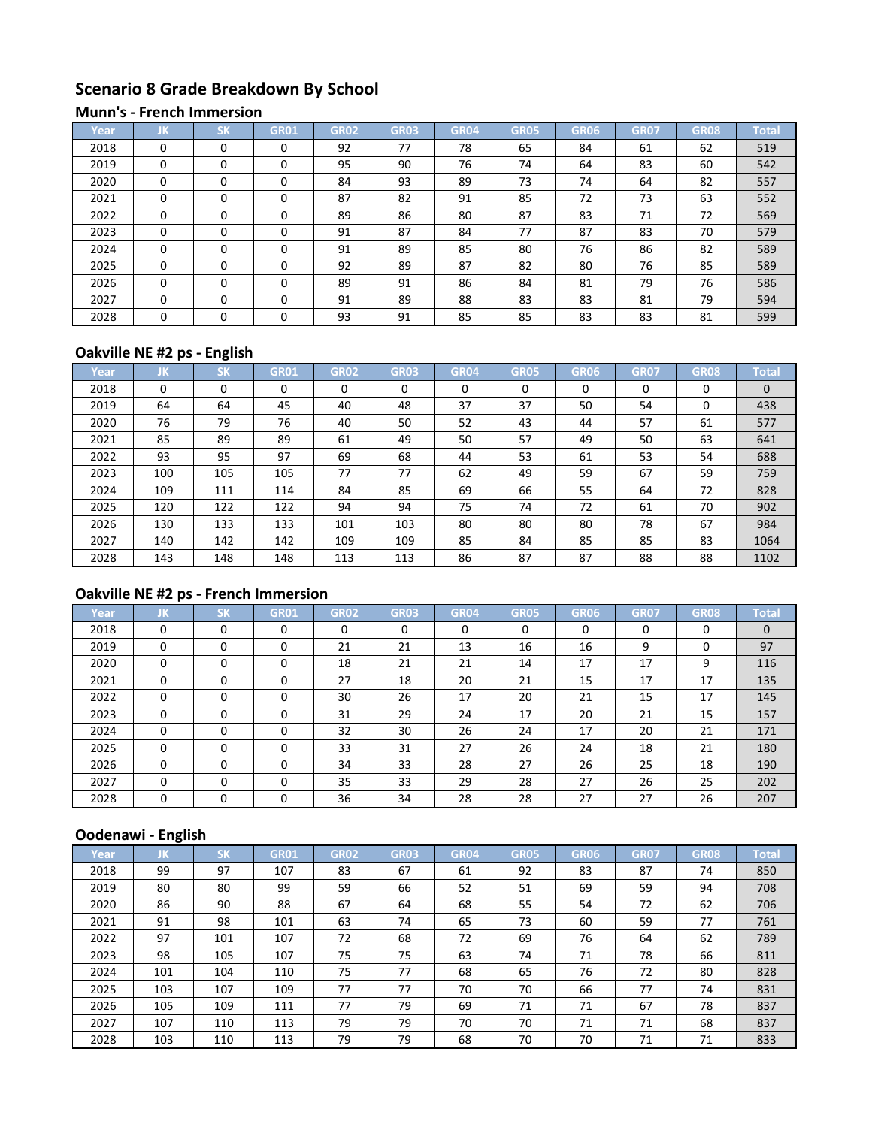# **Scenario 8 Grade Breakdown By School**

#### **Munn's - French Immersion**

| Year | JK       | CM       | GR01     | <b>GR02</b> | <b>GR03</b> | GR <sub>04</sub> | <b>GR05</b> | GR06 | <b>GR07</b> | <b>GR08</b> | <b>Total</b> |
|------|----------|----------|----------|-------------|-------------|------------------|-------------|------|-------------|-------------|--------------|
| 2018 | $\Omega$ | $\Omega$ | 0        | 92          | 77          | 78               | 65          | 84   | 61          | 62          | 519          |
| 2019 | $\Omega$ | $\Omega$ | 0        | 95          | 90          | 76               | 74          | 64   | 83          | 60          | 542          |
| 2020 | $\Omega$ | $\Omega$ | 0        | 84          | 93          | 89               | 73          | 74   | 64          | 82          | 557          |
| 2021 | $\Omega$ | $\Omega$ |          | 87          | 82          | 91               | 85          | 72   | 73          | 63          | 552          |
| 2022 | $\Omega$ | $\Omega$ | $\Omega$ | 89          | 86          | 80               | 87          | 83   | 71          | 72          | 569          |
| 2023 | $\Omega$ | $\Omega$ | 0        | 91          | 87          | 84               | 77          | 87   | 83          | 70          | 579          |
| 2024 | $\Omega$ | $\Omega$ | 0        | 91          | 89          | 85               | 80          | 76   | 86          | 82          | 589          |
| 2025 | $\Omega$ | $\Omega$ | 0        | 92          | 89          | 87               | 82          | 80   | 76          | 85          | 589          |
| 2026 | $\Omega$ | $\Omega$ | 0        | 89          | 91          | 86               | 84          | 81   | 79          | 76          | 586          |
| 2027 | $\Omega$ | $\Omega$ | 0        | 91          | 89          | 88               | 83          | 83   | 81          | 79          | 594          |
| 2028 | $\Omega$ | $\Omega$ | 0        | 93          | 91          | 85               | 85          | 83   | 83          | 81          | 599          |

# **Oakville NE #2 ps - English**

| Year | IJΚ.     | <b>SK</b> | <b>GR01</b> | <b>GR02</b> | <b>GR03</b> | GR04 | <b>GR05</b> | GR06 | <b>GR07</b> | <b>GR08</b> | Total    |
|------|----------|-----------|-------------|-------------|-------------|------|-------------|------|-------------|-------------|----------|
| 2018 | $\Omega$ | 0         | 0           | 0           | $\Omega$    | 0    | $\Omega$    | 0    | 0           | 0           | $\Omega$ |
| 2019 | 64       | 64        | 45          | 40          | 48          | 37   | 37          | 50   | 54          | 0           | 438      |
| 2020 | 76       | 79        | 76          | 40          | 50          | 52   | 43          | 44   | 57          | 61          | 577      |
| 2021 | 85       | 89        | 89          | 61          | 49          | 50   | 57          | 49   | 50          | 63          | 641      |
| 2022 | 93       | 95        | 97          | 69          | 68          | 44   | 53          | 61   | 53          | 54          | 688      |
| 2023 | 100      | 105       | 105         | 77          | 77          | 62   | 49          | 59   | 67          | 59          | 759      |
| 2024 | 109      | 111       | 114         | 84          | 85          | 69   | 66          | 55   | 64          | 72          | 828      |
| 2025 | 120      | 122       | 122         | 94          | 94          | 75   | 74          | 72   | 61          | 70          | 902      |
| 2026 | 130      | 133       | 133         | 101         | 103         | 80   | 80          | 80   | 78          | 67          | 984      |
| 2027 | 140      | 142       | 142         | 109         | 109         | 85   | 84          | 85   | 85          | 83          | 1064     |
| 2028 | 143      | 148       | 148         | 113         | 113         | 86   | 87          | 87   | 88          | 88          | 1102     |

# **Oakville NE #2 ps - French Immersion**

| Year | JK       | <b>SK</b> | <b>GR01</b> | GR02 | <b>GR03</b> | <b>GR04</b> | <b>GR05</b> | GR06 | <b>GR07</b> | <b>GR08</b> | <b>Total</b> |
|------|----------|-----------|-------------|------|-------------|-------------|-------------|------|-------------|-------------|--------------|
| 2018 | $\Omega$ | $\Omega$  | $\Omega$    | 0    | $\Omega$    | $\Omega$    | $\Omega$    | 0    | $\Omega$    | $\Omega$    | $\mathbf{0}$ |
| 2019 | 0        | 0         | 0           | 21   | 21          | 13          | 16          | 16   | 9           | 0           | 97           |
| 2020 | $\Omega$ | $\Omega$  | $\Omega$    | 18   | 21          | 21          | 14          | 17   | 17          | 9           | 116          |
| 2021 | $\Omega$ | 0         | $\Omega$    | 27   | 18          | 20          | 21          | 15   | 17          | 17          | 135          |
| 2022 | 0        | 0         | O           | 30   | 26          | 17          | 20          | 21   | 15          | 17          | 145          |
| 2023 | $\Omega$ | $\Omega$  | $\Omega$    | 31   | 29          | 24          | 17          | 20   | 21          | 15          | 157          |
| 2024 | $\Omega$ | $\Omega$  | $\Omega$    | 32   | 30          | 26          | 24          | 17   | 20          | 21          | 171          |
| 2025 | $\Omega$ | $\Omega$  | $\Omega$    | 33   | 31          | 27          | 26          | 24   | 18          | 21          | 180          |
| 2026 | 0        | 0         | $\Omega$    | 34   | 33          | 28          | 27          | 26   | 25          | 18          | 190          |
| 2027 | $\Omega$ | $\Omega$  | 0           | 35   | 33          | 29          | 28          | 27   | 26          | 25          | 202          |
| 2028 | $\Omega$ | 0         | 0           | 36   | 34          | 28          | 28          | 27   | 27          | 26          | 207          |

| Year | JΚ  | <b>SK</b> | <b>GR01</b> | <b>GR02</b> | <b>GR03</b> | <b>GR04</b> | <b>GR05</b> | <b>GR06</b> | <b>GR07</b> | <b>GR08</b> | <b>Total</b> |
|------|-----|-----------|-------------|-------------|-------------|-------------|-------------|-------------|-------------|-------------|--------------|
| 2018 | 99  | 97        | 107         | 83          | 67          | 61          | 92          | 83          | 87          | 74          | 850          |
| 2019 | 80  | 80        | 99          | 59          | 66          | 52          | 51          | 69          | 59          | 94          | 708          |
| 2020 | 86  | 90        | 88          | 67          | 64          | 68          | 55          | 54          | 72          | 62          | 706          |
| 2021 | 91  | 98        | 101         | 63          | 74          | 65          | 73          | 60          | 59          | 77          | 761          |
| 2022 | 97  | 101       | 107         | 72          | 68          | 72          | 69          | 76          | 64          | 62          | 789          |
| 2023 | 98  | 105       | 107         | 75          | 75          | 63          | 74          | 71          | 78          | 66          | 811          |
| 2024 | 101 | 104       | 110         | 75          | 77          | 68          | 65          | 76          | 72          | 80          | 828          |
| 2025 | 103 | 107       | 109         | 77          | 77          | 70          | 70          | 66          | 77          | 74          | 831          |
| 2026 | 105 | 109       | 111         | 77          | 79          | 69          | 71          | 71          | 67          | 78          | 837          |
| 2027 | 107 | 110       | 113         | 79          | 79          | 70          | 70          | 71          | 71          | 68          | 837          |
| 2028 | 103 | 110       | 113         | 79          | 79          | 68          | 70          | 70          | 71          | 71          | 833          |